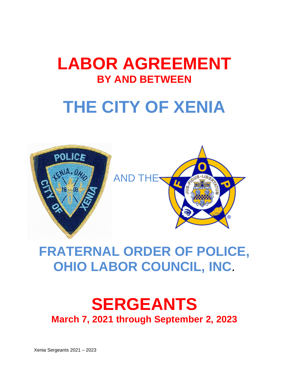# **LABOR AGREEMENT BY AND BETWEEN**

# **THE CITY OF XENIA**



# **FRATERNAL ORDER OF POLICE, OHIO LABOR COUNCIL, INC**.

# **SERGEANTS March 7, 2021 through September 2, 2023**

Xenia Sergeants 2021 – 2023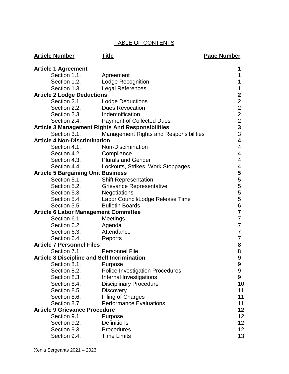# TABLE OF CONTENTS

| <b>Article Number</b>                              | <b>Title</b>                                            | Page Number    |
|----------------------------------------------------|---------------------------------------------------------|----------------|
| <b>Article 1 Agreement</b>                         |                                                         | 1              |
| Section 1.1.                                       | Agreement                                               | 1              |
| Section 1.2.                                       | <b>Lodge Recognition</b>                                | 1              |
| Section 1.3.                                       | <b>Legal References</b>                                 | 1              |
| <b>Article 2 Lodge Deductions</b>                  |                                                         | $\mathbf 2$    |
| Section 2.1.                                       | <b>Lodge Deductions</b>                                 | $\overline{2}$ |
| Section 2.2.                                       | <b>Dues Revocation</b>                                  | $\overline{2}$ |
| Section 2.3.                                       | Indemnification                                         | $\overline{2}$ |
| Section 2.4.                                       | <b>Payment of Collected Dues</b>                        | $\overline{2}$ |
|                                                    | <b>Article 3 Management Rights And Responsibilities</b> | 3              |
| Section 3.1.                                       | <b>Management Rights and Responsibilities</b>           | 3              |
| <b>Article 4 Non-Discrimination</b>                |                                                         | 4              |
| Section 4.1.                                       | Non-Discimination                                       | 4              |
| Section 4.2.                                       | Compliance                                              | 4              |
| Section 4.3.                                       | <b>Plurals and Gender</b>                               | 4              |
| Section 4.4.                                       | Lockouts, Strikes, Work Stoppages                       | 4              |
| <b>Article 5 Bargaining Unit Business</b>          |                                                         | 5              |
| Section 5.1.                                       | <b>Shift Representation</b>                             | 5              |
| Section 5.2.                                       | <b>Grievance Representative</b>                         | 5              |
| Section 5.3.                                       | <b>Negotiations</b>                                     | 5              |
| Section 5.4.                                       | Labor Council/Lodge Release Time                        | 5              |
| Section 5.5                                        | <b>Bulletin Boards</b>                                  | 6              |
| <b>Article 6 Labor Management Committee</b>        |                                                         | $\overline{7}$ |
| Section 6.1.                                       | Meetings                                                | 7              |
| Section 6.2.                                       | Agenda                                                  | 7              |
| Section 6.3.                                       | Attendance                                              | 7              |
| Section 6.4.                                       | Reports                                                 | 7              |
| <b>Article 7 Personnel Files</b>                   |                                                         | 8              |
| Section 7.1.                                       | <b>Personnel File</b>                                   | 8              |
| <b>Article 8 Discipline and Self Incrimination</b> |                                                         | 9              |
| Section 8.1.                                       | Purpose                                                 | 9              |
| Section 8.2.                                       | <b>Police Investigation Procedures</b>                  | 9              |
| Section 8.3.                                       | Internal Investigations                                 | 9              |
| Section 8.4.                                       | <b>Disciplinary Procedure</b>                           | 10             |
| Section 8.5.                                       | Discovery                                               | 11             |
| Section 8.6.                                       | <b>Filing of Charges</b>                                | 11             |
| Section 8.7                                        | <b>Performance Evaluations</b>                          | 11             |
| <b>Article 9 Grievance Procedure</b>               |                                                         | 12             |
| Section 9.1.                                       | Purpose                                                 | 12             |
| Section 9.2.                                       | <b>Definitions</b>                                      | 12             |
| Section 9.3.                                       | Procedures                                              | 12             |
| Section 9.4.                                       | <b>Time Limits</b>                                      | 13             |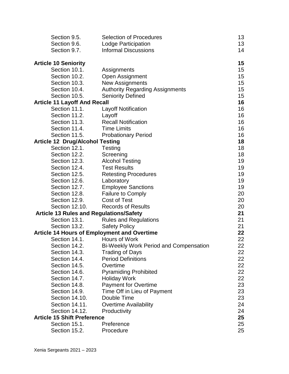| Section 9.5.                                       | <b>Selection of Procedures</b>                | 13 |
|----------------------------------------------------|-----------------------------------------------|----|
| Section 9.6.                                       | Lodge Participation                           | 13 |
| Section 9.7.                                       | <b>Informal Discussions</b>                   | 14 |
| <b>Article 10 Seniority</b>                        |                                               | 15 |
| Section 10.1.                                      | Assignments                                   | 15 |
| Section 10.2.                                      | Open Assignment                               | 15 |
| Section 10.3.                                      | <b>New Assignments</b>                        | 15 |
| Section 10.4.                                      | <b>Authority Regarding Assignments</b>        | 15 |
| Section 10.5.                                      | <b>Seniority Defined</b>                      | 15 |
| <b>Article 11 Layoff And Recall</b>                |                                               | 16 |
| Section 11.1.                                      | <b>Layoff Notification</b>                    | 16 |
| Section 11.2.                                      | Layoff                                        | 16 |
| Section 11.3.                                      | <b>Recall Notification</b>                    | 16 |
| Section 11.4.                                      | <b>Time Limits</b>                            | 16 |
| Section 11.5.                                      | <b>Probationary Period</b>                    | 16 |
| <b>Article 12 Drug/Alcohol Testing</b>             |                                               | 18 |
| Section 12.1.                                      | Testing                                       | 18 |
| Section 12.2.                                      | Screening                                     | 18 |
| Section 12.3.                                      | <b>Alcohol Testing</b>                        | 19 |
| Section 12.4.                                      | <b>Test Results</b>                           | 19 |
| Section 12.5.                                      | <b>Retesting Procedures</b>                   | 19 |
| Section 12.6.                                      | Laboratory                                    | 19 |
| Section 12.7.                                      | <b>Employee Sanctions</b>                     | 19 |
| Section 12.8.                                      | <b>Failure to Comply</b>                      | 20 |
| Section 12.9.                                      | <b>Cost of Test</b>                           | 20 |
| Section 12.10.                                     | <b>Records of Results</b>                     | 20 |
| <b>Article 13 Rules and Regulations/Safety</b>     |                                               | 21 |
| Section 13.1.                                      | <b>Rules and Regulations</b>                  | 21 |
| Section 13.2.                                      | <b>Safety Policy</b>                          | 21 |
| <b>Article 14 Hours of Employment and Overtime</b> |                                               | 22 |
| Section 14.1.                                      | Hours of Work                                 | 22 |
| Section 14.2.                                      | <b>Bi-Weekly Work Period and Compensation</b> | 22 |
| Section 14.3.                                      | Trading of Days                               | 22 |
| Section 14.4.                                      | <b>Period Definitions</b>                     | 22 |
| Section 14.5.                                      | Overtime                                      | 22 |
| Section 14.6.                                      | <b>Pyramiding Prohibited</b>                  | 22 |
| Section 14.7.                                      | <b>Holiday Work</b>                           | 22 |
| Section 14.8.                                      | <b>Payment for Overtime</b>                   | 23 |
| Section 14.9.                                      | Time Off in Lieu of Payment                   | 23 |
| Section 14.10.                                     | Double Time                                   | 23 |
| Section 14.11.                                     | <b>Overtime Availability</b>                  | 24 |
| Section 14.12.                                     | Productivity                                  | 24 |
| <b>Article 15 Shift Preference</b>                 |                                               | 25 |
| Section 15.1.                                      | Preference                                    | 25 |
| Section 15.2.                                      | Procedure                                     | 25 |
|                                                    |                                               |    |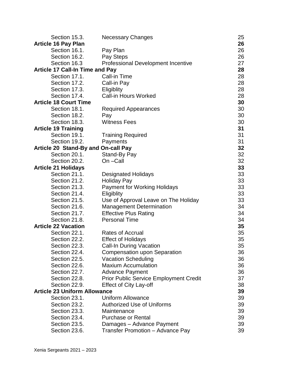| Section 15.3.                          | <b>Necessary Changes</b>                      | 25 |
|----------------------------------------|-----------------------------------------------|----|
| <b>Article 16 Pay Plan</b>             |                                               | 26 |
| Section 16.1.                          | Pay Plan                                      | 26 |
| Section 16.2.                          | Pay Steps                                     | 26 |
| Section 16.3                           | <b>Professional Development Incentive</b>     | 27 |
| <b>Article 17 Call-In Time and Pay</b> |                                               | 28 |
| Section 17.1.                          | Call-in Time                                  | 28 |
| Section 17.2.                          | Call-in Pay                                   | 28 |
| Section 17.3.                          | Eligiblity                                    | 28 |
| Section 17.4.                          | <b>Call-in Hours Worked</b>                   | 28 |
| <b>Article 18 Court Time</b>           |                                               | 30 |
| Section 18.1.                          | <b>Required Appearances</b>                   | 30 |
| Section 18.2.                          | Pay                                           | 30 |
| Section 18.3.                          | <b>Witness Fees</b>                           | 30 |
| <b>Article 19 Training</b>             |                                               | 31 |
| Section 19.1.                          | <b>Training Required</b>                      | 31 |
| Section 19.2.                          | Payments                                      | 31 |
| Article 20 Stand-By and On-call Pay    |                                               | 32 |
| Section 20.1.                          | Stand-By Pay                                  | 32 |
| Section 20.2.                          | On-Call                                       | 32 |
| <b>Article 21 Holidays</b>             |                                               | 33 |
| Section 21.1.                          | <b>Designated Holidays</b>                    | 33 |
| Section 21.2.                          | <b>Holiday Pay</b>                            | 33 |
| Section 21.3.                          | <b>Payment for Working Holidays</b>           | 33 |
| Section 21.4.                          | Eligiblity                                    | 33 |
| Section 21.5.                          | Use of Approval Leave on The Holiday          | 33 |
| Section 21.6.                          | <b>Management Determination</b>               | 34 |
| Section 21.7.                          | <b>Effective Plus Rating</b>                  | 34 |
| Section 21.8.                          | <b>Personal Time</b>                          | 34 |
| <b>Article 22 Vacation</b>             |                                               | 35 |
| Section 22.1.                          | <b>Rates of Accrual</b>                       | 35 |
| Section 22.2.                          | <b>Effect of Holidays</b>                     | 35 |
| Section 22.3.                          | <b>Call-In During Vacation</b>                | 35 |
| Section 22.4.                          | <b>Compensation upon Separation</b>           | 36 |
| Section 22.5.                          | <b>Vacation Scheduling</b>                    | 36 |
| Section 22.6.                          | <b>Maxium Accumulation</b>                    | 36 |
| Section 22.7.                          | <b>Advance Payment</b>                        | 36 |
| Section 22.8.                          | <b>Prior Public Service Employment Credit</b> | 37 |
| Section 22.9.                          | Effect of City Lay-off                        | 38 |
| <b>Article 23 Uniform Allowance</b>    |                                               | 39 |
| Section 23.1.                          | <b>Uniform Allowance</b>                      | 39 |
| Section 23.2.                          | <b>Authorized Use of Uniforms</b>             | 39 |
| Section 23.3.                          | Maintenance                                   | 39 |
| Section 23.4.                          | <b>Purchase or Rental</b>                     | 39 |
| Section 23.5.                          | Damages - Advance Payment                     | 39 |
| Section 23.6.                          | Transfer Promotion - Advance Pay              | 39 |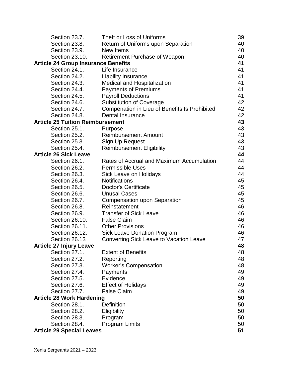| Section 23.7.                              | Theft or Loss of Uniforms                     | 39 |
|--------------------------------------------|-----------------------------------------------|----|
| Section 23.8.                              | Return of Uniforms upon Separation            | 40 |
| Section 23.9.                              | New Items                                     | 40 |
| Section 23.10.                             | <b>Retirement Purchase of Weapon</b>          | 40 |
| <b>Article 24 Group Insurance Benefits</b> |                                               | 41 |
| Section 24.1.                              | Life Insurance                                | 41 |
| Section 24.2.                              | <b>Liability Insurance</b>                    | 41 |
| Section 24.3.                              | <b>Medical and Hospitalization</b>            | 41 |
| Section 24.4.                              | <b>Payments of Premiums</b>                   | 41 |
| Section 24.5.                              | <b>Payroll Deductions</b>                     | 41 |
| Section 24.6.                              | <b>Substitution of Coverage</b>               | 42 |
| Section 24.7.                              | Compenation in Lieu of Benefits Is Prohibited | 42 |
| Section 24.8.                              | <b>Dental Insurance</b>                       | 42 |
| <b>Article 25 Tuition Reimbursement</b>    |                                               | 43 |
| Section 25.1.                              | Purpose                                       | 43 |
| Section 25.2.                              | <b>Reimbursement Amount</b>                   | 43 |
| Section 25.3.                              | Sign Up Request                               | 43 |
| Section 25.4.                              | <b>Reimbursement Eligibility</b>              | 43 |
| <b>Article 26 Sick Leave</b>               |                                               | 44 |
| Section 26.1.                              | Rates of Accrual and Maximum Accumulation     | 44 |
| Section 26.2.                              | <b>Permissible Uses</b>                       | 44 |
| Section 26.3.                              | Sick Leave on Holidays                        | 44 |
| Section 26.4.                              | <b>Notifications</b>                          | 45 |
| Section 26.5.                              | Doctor's Certificate                          | 45 |
| Section 26.6.                              | <b>Unusal Cases</b>                           | 45 |
| Section 26.7.                              | <b>Compensation upon Separation</b>           | 45 |
| Section 26.8.                              | Reinstatement                                 | 46 |
| Section 26.9.                              | <b>Transfer of Sick Leave</b>                 | 46 |
| Section 26.10.                             | <b>False Claim</b>                            | 46 |
| Section 26.11.                             | <b>Other Provisions</b>                       | 46 |
| Section 26.12.                             | <b>Sick Leave Donation Program</b>            | 46 |
| Section 26.13                              | Converting Sick Leave to Vacation Leave       | 47 |
| <b>Article 27 Injury Leave</b>             |                                               | 48 |
| Section 27.1.                              | <b>Extent of Benefits</b>                     | 48 |
| Section 27.2.                              | Reporting                                     | 48 |
| Section 27.3.                              | <b>Worker's Compensation</b>                  | 48 |
| Section 27.4.                              | Payments                                      | 49 |
| Section 27.5.                              | Evidence                                      | 49 |
| Section 27.6.                              | <b>Effect of Holidays</b>                     | 49 |
| Section 27.7.                              | <b>False Claim</b>                            | 49 |
| <b>Article 28 Work Hardening</b>           |                                               | 50 |
| Section 28.1.                              | <b>Definition</b>                             | 50 |
| Section 28.2.                              | Eligibility                                   | 50 |
| Section 28.3.                              | Program                                       | 50 |
| Section 28.4.                              | <b>Program Limits</b>                         | 50 |
| <b>Article 29 Special Leaves</b>           |                                               | 51 |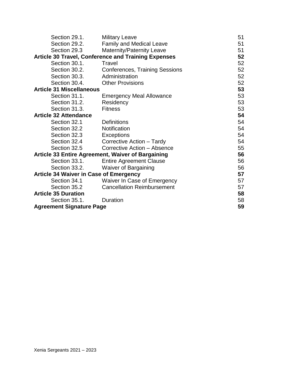| Section 29.1.                                 | <b>Military Leave</b>                                      | 51 |
|-----------------------------------------------|------------------------------------------------------------|----|
| Section 29.2.                                 | <b>Family and Medical Leave</b>                            | 51 |
| Section 29.3                                  | <b>Maternity/Paternity Leave</b>                           |    |
|                                               | <b>Article 30 Travel, Conference and Training Expenses</b> | 52 |
| Section 30.1.                                 | <b>Travel</b>                                              | 52 |
| Section 30.2.                                 | <b>Conferences, Training Sessions</b>                      | 52 |
| Section 30.3.                                 | Administration                                             | 52 |
| Section 30.4.                                 | <b>Other Provisions</b>                                    | 52 |
| <b>Article 31 Miscellaneous</b>               |                                                            | 53 |
| Section 31.1.                                 | <b>Emergency Meal Allowance</b>                            | 53 |
| Section 31.2.                                 | Residency                                                  | 53 |
| Section 31.3.                                 | <b>Fitness</b>                                             | 53 |
| <b>Article 32 Attendance</b>                  |                                                            | 54 |
| Section 32.1                                  | <b>Definitions</b>                                         | 54 |
| Section 32.2                                  | Notification                                               | 54 |
| Section 32.3                                  | Exceptions                                                 | 54 |
| Section 32.4                                  | Corrective Action - Tardy                                  | 54 |
| Section 32.5                                  | Corrective Action - Absence                                | 55 |
|                                               | Article 33 Entire Agreement, Waiver of Bargaining          | 56 |
| Section 33.1.                                 | <b>Entire Agreement Clause</b>                             | 56 |
| Section 33.2.                                 | <b>Waiver of Bargaining</b>                                | 56 |
| <b>Article 34 Waiver in Case of Emergency</b> |                                                            | 57 |
| Section 34.1                                  | Waiver In Case of Emergency                                | 57 |
| Section 35.2                                  | <b>Cancellation Reimbursement</b>                          | 57 |
| <b>Article 35 Duration</b>                    |                                                            | 58 |
| Section 35.1.                                 | Duration                                                   | 58 |
| <b>Agreement Signature Page</b>               |                                                            | 59 |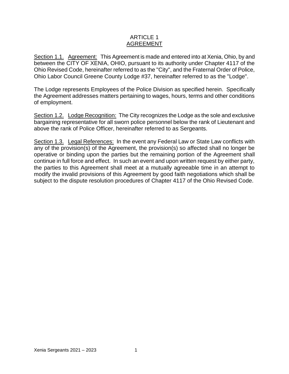# ARTICLE 1 AGREEMENT

Section 1.1. Agreement: This Agreement is made and entered into at Xenia, Ohio, by and between the CITY OF XENIA, OHIO, pursuant to its authority under Chapter 4117 of the Ohio Revised Code, hereinafter referred to as the "City", and the Fraternal Order of Police, Ohio Labor Council Greene County Lodge #37, hereinafter referred to as the "Lodge".

The Lodge represents Employees of the Police Division as specified herein. Specifically the Agreement addresses matters pertaining to wages, hours, terms and other conditions of employment.

Section 1.2. Lodge Recognition: The City recognizes the Lodge as the sole and exclusive bargaining representative for all sworn police personnel below the rank of Lieutenant and above the rank of Police Officer, hereinafter referred to as Sergeants.

Section 1.3. Legal References: In the event any Federal Law or State Law conflicts with any of the provision(s) of the Agreement, the provision(s) so affected shall no longer be operative or binding upon the parties but the remaining portion of the Agreement shall continue in full force and effect. In such an event and upon written request by either party, the parties to this Agreement shall meet at a mutually agreeable time in an attempt to modify the invalid provisions of this Agreement by good faith negotiations which shall be subject to the dispute resolution procedures of Chapter 4117 of the Ohio Revised Code.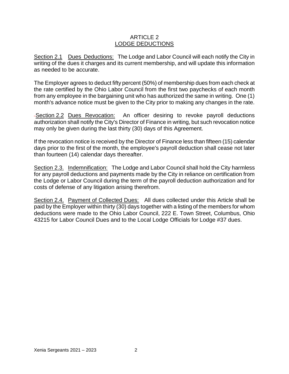# ARTICLE 2 LODGE DEDUCTIONS

Section 2.1 Dues Deductions: The Lodge and Labor Council will each notify the City in writing of the dues it charges and its current membership, and will update this information as needed to be accurate.

The Employer agrees to deduct fifty percent (50%) of membership dues from each check at the rate certified by the Ohio Labor Council from the first two paychecks of each month from any employee in the bargaining unit who has authorized the same in writing. One (1) month's advance notice must be given to the City prior to making any changes in the rate.

Section 2.2 Dues Revocation: An officer desiring to revoke payroll deductions authorization shall notify the City's Director of Finance in writing, but such revocation notice may only be given during the last thirty (30) days of this Agreement.

If the revocation notice is received by the Director of Finance less than fifteen (15) calendar days prior to the first of the month, the employee's payroll deduction shall cease not later than fourteen (14) calendar days thereafter.

Section 2.3. Indemnification: The Lodge and Labor Council shall hold the City harmless for any payroll deductions and payments made by the City in reliance on certification from the Lodge or Labor Council during the term of the payroll deduction authorization and for costs of defense of any litigation arising therefrom.

Section 2.4. Payment of Collected Dues: All dues collected under this Article shall be paid by the Employer within thirty (30) days together with a listing of the members for whom deductions were made to the Ohio Labor Council, 222 E. Town Street, Columbus, Ohio 43215 for Labor Council Dues and to the Local Lodge Officials for Lodge #37 dues.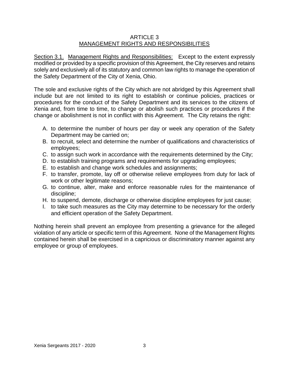# ARTICLE 3 MANAGEMENT RIGHTS AND RESPONSIBILITIES

Section 3.1. Management Rights and Responsibilities: Except to the extent expressly modified or provided by a specific provision of this Agreement, the City reserves and retains solely and exclusively all of its statutory and common law rights to manage the operation of the Safety Department of the City of Xenia, Ohio.

The sole and exclusive rights of the City which are not abridged by this Agreement shall include but are not limited to its right to establish or continue policies, practices or procedures for the conduct of the Safety Department and its services to the citizens of Xenia and, from time to time, to change or abolish such practices or procedures if the change or abolishment is not in conflict with this Agreement. The City retains the right:

- A. to determine the number of hours per day or week any operation of the Safety Department may be carried on;
- B. to recruit, select and determine the number of qualifications and characteristics of employees;
- C. to assign such work in accordance with the requirements determined by the City;
- D. to establish training programs and requirements for upgrading employees;
- E. to establish and change work schedules and assignments;
- F. to transfer, promote, lay off or otherwise relieve employees from duty for lack of work or other legitimate reasons;
- G. to continue, alter, make and enforce reasonable rules for the maintenance of discipline;
- H. to suspend, demote, discharge or otherwise discipline employees for just cause;
- I. to take such measures as the City may determine to be necessary for the orderly and efficient operation of the Safety Department.

Nothing herein shall prevent an employee from presenting a grievance for the alleged violation of any article or specific term of this Agreement. None of the Management Rights contained herein shall be exercised in a capricious or discriminatory manner against any employee or group of employees.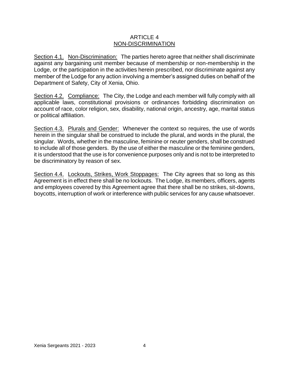# ARTICLE 4 NON-DISCRIMINATION

Section 4.1. Non-Discrimination: The parties hereto agree that neither shall discriminate against any bargaining unit member because of membership or non-membership in the Lodge, or the participation in the activities herein prescribed, nor discriminate against any member of the Lodge for any action involving a member's assigned duties on behalf of the Department of Safety, City of Xenia, Ohio.

Section 4.2. Compliance: The City, the Lodge and each member will fully comply with all applicable laws, constitutional provisions or ordinances forbidding discrimination on account of race, color religion, sex, disability, national origin, ancestry, age, marital status or political affiliation.

Section 4.3. Plurals and Gender: Whenever the context so requires, the use of words herein in the singular shall be construed to include the plural, and words in the plural, the singular. Words, whether in the masculine, feminine or neuter genders, shall be construed to include all of those genders. By the use of either the masculine or the feminine genders, it is understood that the use is for convenience purposes only and is not to be interpreted to be discriminatory by reason of sex.

Section 4.4. Lockouts, Strikes, Work Stoppages: The City agrees that so long as this Agreement is in effect there shall be no lockouts. The Lodge, its members, officers, agents and employees covered by this Agreement agree that there shall be no strikes, sit-downs, boycotts, interruption of work or interference with public services for any cause whatsoever.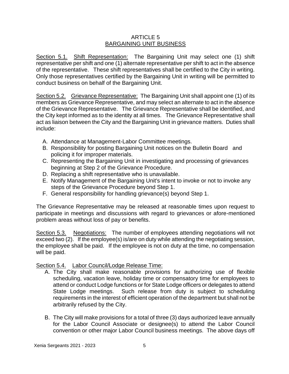# ARTICLE 5 BARGAINING UNIT BUSINESS

Section 5.1. Shift Representation: The Bargaining Unit may select one (1) shift representative per shift and one (1) alternate representative per shift to act in the absence of the representative. These shift representatives shall be certified to the City in writing. Only those representatives certified by the Bargaining Unit in writing will be permitted to conduct business on behalf of the Bargaining Unit.

Section 5.2. Grievance Representative: The Bargaining Unit shall appoint one (1) of its members as Grievance Representative, and may select an alternate to act in the absence of the Grievance Representative. The Grievance Representative shall be identified, and the City kept informed as to the identity at all times. The Grievance Representative shall act as liaison between the City and the Bargaining Unit in grievance matters. Duties shall include:

- A. Attendance at Management-Labor Committee meetings.
- B. Responsibility for posting Bargaining Unit notices on the Bulletin Board and policing it for improper materials.
- C. Representing the Bargaining Unit in investigating and processing of grievances beginning at Step 2 of the Grievance Procedure.
- D. Replacing a shift representative who is unavailable.
- E. Notify Management of the Bargaining Unit's intent to invoke or not to invoke any steps of the Grievance Procedure beyond Step 1.
- F. General responsibility for handling grievance(s) beyond Step 1.

The Grievance Representative may be released at reasonable times upon request to participate in meetings and discussions with regard to grievances or afore-mentioned problem areas without loss of pay or benefits.

Section 5.3. Negotiations: The number of employees attending negotiations will not exceed two (2). If the employee(s) is/are on duty while attending the negotiating session, the employee shall be paid. If the employee is not on duty at the time, no compensation will be paid.

Section 5.4. Labor Council/Lodge Release Time:

- A. The City shall make reasonable provisions for authorizing use of flexible scheduling, vacation leave, holiday time or compensatory time for employees to attend or conduct Lodge functions or for State Lodge officers or delegates to attend State Lodge meetings. Such release from duty is subject to scheduling requirements in the interest of efficient operation of the department but shall not be arbitrarily refused by the City.
- B. The City will make provisions for a total of three (3) days authorized leave annually for the Labor Council Associate or designee(s) to attend the Labor Council convention or other major Labor Council business meetings. The above days off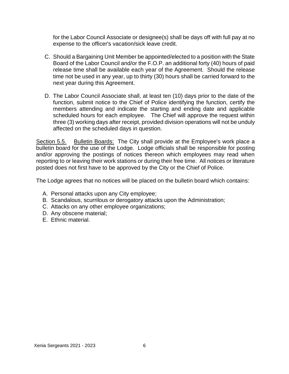for the Labor Council Associate or designee(s) shall be days off with full pay at no expense to the officer's vacation/sick leave credit.

- C. Should a Bargaining Unit Member be appointed/elected to a position with the State Board of the Labor Council and/or the F.O.P. an additional forty (40) hours of paid release time shall be available each year of the Agreement. Should the release time not be used in any year, up to thirty (30) hours shall be carried forward to the next year during this Agreement.
- D. The Labor Council Associate shall, at least ten (10) days prior to the date of the function, submit notice to the Chief of Police identifying the function, certify the members attending and indicate the starting and ending date and applicable scheduled hours for each employee. The Chief will approve the request within three (3) working days after receipt, provided division operations will not be unduly affected on the scheduled days in question.

Section 5.5. Bulletin Boards: The City shall provide at the Employee's work place a bulletin board for the use of the Lodge. Lodge officials shall be responsible for posting and/or approving the postings of notices thereon which employees may read when reporting to or leaving their work stations or during their free time. All notices or literature posted does not first have to be approved by the City or the Chief of Police.

The Lodge agrees that no notices will be placed on the bulletin board which contains:

- A. Personal attacks upon any City employee;
- B. Scandalous, scurrilous or derogatory attacks upon the Administration;
- C. Attacks on any other employee organizations;
- D. Any obscene material;
- E. Ethnic material.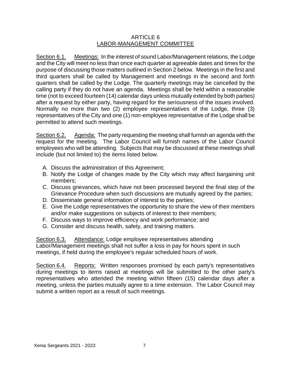# ARTICLE 6 LABOR-MANAGEMENT COMMITTEE

Section 6.1. Meetings: In the interest of sound Labor/Management relations, the Lodge and the City will meet no less than once each quarter at agreeable dates and times for the purpose of discussing those matters outlined in Section 2 below. Meetings in the first and third quarters shall be called by Management and meetings in the second and forth quarters shall be called by the Lodge. The quarterly meetings may be cancelled by the calling party if they do not have an agenda. Meetings shall be held within a reasonable time (not to exceed fourteen (14) calendar days unless mutually extended by both parties) after a request by either party, having regard for the seriousness of the issues involved. Normally no more than two (2) employee representatives of the Lodge, three (3) representatives of the City and one (1) non-employee representative of the Lodge shall be permitted to attend such meetings.

Section 6.2. Agenda: The party requesting the meeting shall furnish an agenda with the request for the meeting. The Labor Council will furnish names of the Labor Council employees who will be attending. Subjects that may be discussed at these meetings shall include (but not limited to) the items listed below.

- A. Discuss the administration of this Agreement;
- B. Notify the Lodge of changes made by the City which may affect bargaining unit members;
- C. Discuss grievances, which have not been processed beyond the final step of the Grievance Procedure when such discussions are mutually agreed by the parties;
- D. Disseminate general information of interest to the parties;
- E. Give the Lodge representatives the opportunity to share the view of their members and/or make suggestions on subjects of interest to their members;
- F. Discuss ways to improve efficiency and work performance; and
- G. Consider and discuss health, safety, and training matters.

Section 6.3. Attendance: Lodge employee representatives attending Labor/Management meetings shall not suffer a loss in pay for hours spent in such meetings, if held during the employee's regular scheduled hours of work.

Section 6.4. Reports: Written responses promised by each party's representatives during meetings to items raised at meetings will be submitted to the other party's representatives who attended the meeting within fifteen (15) calendar days after a meeting, unless the parties mutually agree to a time extension. The Labor Council may submit a written report as a result of such meetings.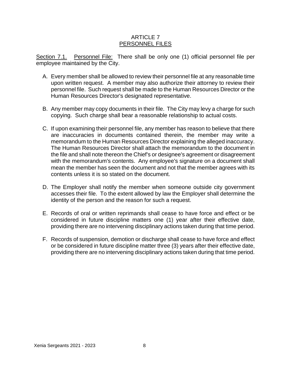# ARTICLE 7 PERSONNEL FILES

Section 7.1. Personnel File: There shall be only one (1) official personnel file per employee maintained by the City.

- A. Every member shall be allowed to review their personnel file at any reasonable time upon written request. A member may also authorize their attorney to review their personnel file. Such request shall be made to the Human Resources Director or the Human Resources Director's designated representative.
- B. Any member may copy documents in their file. The City may levy a charge for such copying. Such charge shall bear a reasonable relationship to actual costs.
- C. If upon examining their personnel file, any member has reason to believe that there are inaccuracies in documents contained therein, the member may write a memorandum to the Human Resources Director explaining the alleged inaccuracy. The Human Resources Director shall attach the memorandum to the document in the file and shall note thereon the Chief's or designee's agreement or disagreement with the memorandum's contents. Any employee's signature on a document shall mean the member has seen the document and not that the member agrees with its contents unless it is so stated on the document.
- D. The Employer shall notify the member when someone outside city government accesses their file. To the extent allowed by law the Employer shall determine the identity of the person and the reason for such a request.
- E. Records of oral or written reprimands shall cease to have force and effect or be considered in future discipline matters one (1) year after their effective date, providing there are no intervening disciplinary actions taken during that time period.
- F. Records of suspension, demotion or discharge shall cease to have force and effect or be considered in future discipline matter three (3) years after their effective date, providing there are no intervening disciplinary actions taken during that time period.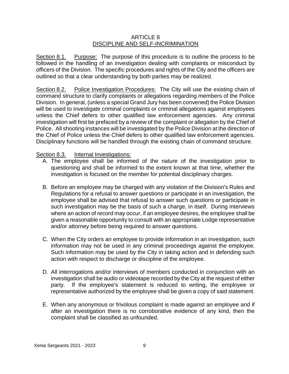# ARTICLE 8 DISCIPLINE AND SELF-INCRIMINATION

Section 8.1. Purpose: The purpose of this procedure is to outline the process to be followed in the handling of an investigation dealing with complaints or misconduct by officers of the Division. The specific procedures and rights of the City and the officers are outlined so that a clear understanding by both parties may be realized.

Section 8.2. Police Investigation Procedures: The City will use the existing chain of command structure to clarify complaints or allegations regarding members of the Police Division. In general, (unless a special Grand Jury has been convened) the Police Division will be used to investigate criminal complaints or criminal allegations against employees unless the Chief defers to other qualified law enforcement agencies. Any criminal investigation will first be prefaced by a review of the complaint or allegation by the Chief of Police. All shooting instances will be investigated by the Police Division at the direction of the Chief of Police unless the Chief defers to other qualified law enforcement agencies. Disciplinary functions will be handled through the existing chain of command structure.

# Section 8.3. Internal Investigations:

- A. The employee shall be informed of the nature of the investigation prior to questioning and shall be informed to the extent known at that time, whether the investigation is focused on the member for potential disciplinary charges.
- B. Before an employee may be charged with any violation of the Division's Rules and Regulations for a refusal to answer questions or participate in an investigation, the employee shall be advised that refusal to answer such questions or participate in such investigation may be the basis of such a charge, in itself. During interviews where an action of record may occur, if an employee desires, the employee shall be given a reasonable opportunity to consult with an appropriate Lodge representative and/or attorney before being required to answer questions.
- C. When the City orders an employee to provide information in an investigation, such information may not be used in any criminal proceedings against the employee. Such information may be used by the City in taking action and in defending such action with respect to discharge or discipline of the employee.
- D. All interrogations and/or interviews of members conducted in conjunction with an investigation shall be audio or videotape recorded by the City at the request of either party. If the employee's statement is reduced to writing, the employee or representative authorized by the employee shall be given a copy of said statement.
- E. When any anonymous or frivolous complaint is made against an employee and if after an investigation there is no corroborative evidence of any kind, then the complaint shall be classified as unfounded.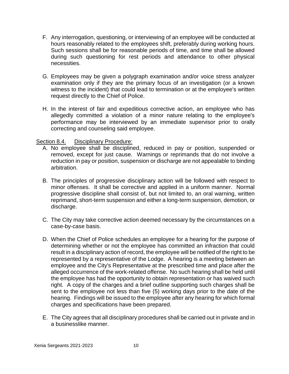- F. Any interrogation, questioning, or interviewing of an employee will be conducted at hours reasonably related to the employees shift, preferably during working hours. Such sessions shall be for reasonable periods of time, and time shall be allowed during such questioning for rest periods and attendance to other physical necessities.
- G. Employees may be given a polygraph examination and/or voice stress analyzer examination only if they are the primary focus of an investigation (or a known witness to the incident) that could lead to termination or at the employee's written request directly to the Chief of Police.
- H. In the interest of fair and expeditious corrective action, an employee who has allegedly committed a violation of a minor nature relating to the employee's performance may be interviewed by an immediate supervisor prior to orally correcting and counseling said employee.

# Section 8.4. Disciplinary Procedure:

- A. No employee shall be disciplined, reduced in pay or position, suspended or removed, except for just cause. Warnings or reprimands that do not involve a reduction in pay or position, suspension or discharge are not appealable to binding arbitration.
- B. The principles of progressive disciplinary action will be followed with respect to minor offenses. It shall be corrective and applied in a uniform manner. Normal progressive discipline shall consist of, but not limited to, an oral warning, written reprimand, short-term suspension and either a long-term suspension, demotion, or discharge.
- C. The City may take corrective action deemed necessary by the circumstances on a case-by-case basis.
- D. When the Chief of Police schedules an employee for a hearing for the purpose of determining whether or not the employee has committed an infraction that could result in a disciplinary action of record, the employee will be notified of the right to be represented by a representative of the Lodge. A hearing is a meeting between an employee and the City's Representative at the prescribed time and place after the alleged occurrence of the work-related offense. No such hearing shall be held until the employee has had the opportunity to obtain representation or has waived such right. A copy of the charges and a brief outline supporting such charges shall be sent to the employee not less than five (5) working days prior to the date of the hearing. Findings will be issued to the employee after any hearing for which formal charges and specifications have been prepared.
- E. The City agrees that all disciplinary procedures shall be carried out in private and in a businesslike manner.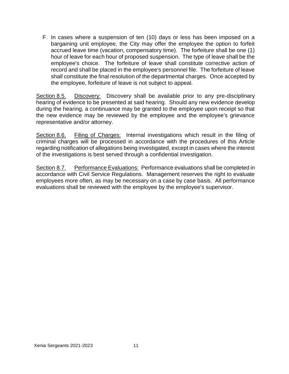F. In cases where a suspension of ten (10) days or less has been imposed on a bargaining unit employee, the City may offer the employee the option to forfeit accrued leave time (vacation, compensatory time). The forfeiture shall be one (1) hour of leave for each hour of proposed suspension. The type of leave shall be the employee's choice. The forfeiture of leave shall constitute corrective action of record and shall be placed in the employee's personnel file. The forfeiture of leave shall constitute the final resolution of the departmental charges. Once accepted by the employee, forfeiture of leave is not subject to appeal.

Section 8.5. Discovery: Discovery shall be available prior to any pre-disciplinary hearing of evidence to be presented at said hearing. Should any new evidence develop during the hearing, a continuance may be granted to the employee upon receipt so that the new evidence may be reviewed by the employee and the employee's grievance representative and/or attorney.

Section 8.6. Filing of Charges: Internal investigations which result in the filing of criminal charges will be processed in accordance with the procedures of this Article regarding notification of allegations being investigated, except in cases where the interest of the investigations is best served through a confidential investigation.

Section 8.7. Performance Evaluations: Performance evaluations shall be completed in accordance with Civil Service Regulations. Management reserves the right to evaluate employees more often, as may be necessary on a case by case basis. All performance evaluations shall be reviewed with the employee by the employee's supervisor.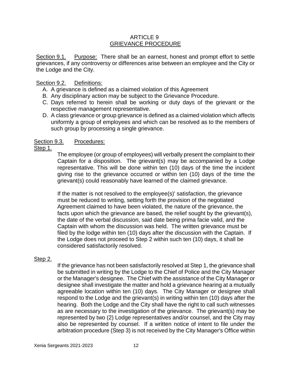# ARTICLE 9 GRIEVANCE PROCEDURE

Section 9.1. Purpose: There shall be an earnest, honest and prompt effort to settle grievances, if any controversy or differences arise between an employee and the City or the Lodge and the City.

# Section 9.2. Definitions:

- A. A grievance is defined as a claimed violation of this Agreement
- B. Any disciplinary action may be subject to the Grievance Procedure.
- C. Days referred to herein shall be working or duty days of the grievant or the respective management representative.
- D. A class grievance or group grievance is defined as a claimed violation which affects uniformly a group of employees and which can be resolved as to the members of such group by processing a single grievance.

# Section 9.3. Procedures:

# Step 1.

The employee (or group of employees) will verbally present the complaint to their Captain for a disposition. The grievant(s) may be accompanied by a Lodge representative. This will be done within ten (10) days of the time the incident giving rise to the grievance occurred or within ten (10) days of the time the grievant(s) could reasonably have learned of the claimed grievance.

If the matter is not resolved to the employee(s)' satisfaction, the grievance must be reduced to writing, setting forth the provision of the negotiated Agreement claimed to have been violated, the nature of the grievance, the facts upon which the grievance are based, the relief sought by the grievant(s), the date of the verbal discussion, said date being prima facie valid, and the Captain with whom the discussion was held. The written grievance must be filed by the lodge within ten (10) days after the discussion with the Captain. If the Lodge does not proceed to Step 2 within such ten (10) days, it shall be considered satisfactorily resolved.

# Step 2.

If the grievance has not been satisfactorily resolved at Step 1, the grievance shall be submitted in writing by the Lodge to the Chief of Police and the City Manager or the Manager's designee. The Chief with the assistance of the City Manager or designee shall investigate the matter and hold a grievance hearing at a mutually agreeable location within ten (10) days. The City Manager or designee shall respond to the Lodge and the grievant(s) in writing within ten (10) days after the hearing. Both the Lodge and the City shall have the right to call such witnesses as are necessary to the investigation of the grievance. The grievant(s) may be represented by two (2) Lodge representatives and/or counsel, and the City may also be represented by counsel. If a written notice of intent to file under the arbitration procedure (Step 3) is not received by the City Manager's Office within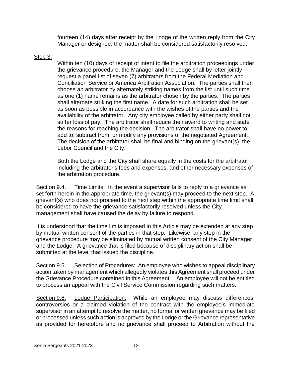fourteen (14) days after receipt by the Lodge of the written reply from the City Manager or designee, the matter shall be considered satisfactorily resolved.

# Step 3.

Within ten (10) days of receipt of intent to file the arbitration proceedings under the grievance procedure, the Manager and the Lodge shall by letter jointly request a panel list of seven (7) arbitrators from the Federal Mediation and Conciliation Service or America Arbitration Association. The parties shall then choose an arbitrator by alternately striking names from the list until such time as one (1) name remains as the arbitrator chosen by the parties. The parties shall alternate striking the first name. A date for such arbitration shall be set as soon as possible in accordance with the wishes of the parties and the availability of the arbitrator. Any city employee called by either party shall not suffer loss of pay. The arbitrator shall reduce their award to writing and state the reasons for reaching the decision. The arbitrator shall have no power to add to, subtract from, or modify any provisions of the negotiated Agreement. The decision of the arbitrator shall be final and binding on the grievant(s), the Labor Council and the City.

Both the Lodge and the City shall share equally in the costs for the arbitrator including the arbitrator's fees and expenses, and other necessary expenses of the arbitration procedure.

Section 9.4. Time Limits: In the event a supervisor fails to reply to a grievance as set forth herein in the appropriate time, the grievant(s) may proceed to the next step. A grievant(s) who does not proceed to the next step within the appropriate time limit shall be considered to have the grievance satisfactorily resolved unless the City management shall have caused the delay by failure to respond.

It is understood that the time limits imposed in this Article may be extended at any step by mutual written consent of the parties in that step. Likewise, any step in the grievance procedure may be eliminated by mutual written consent of the City Manager and the Lodge. A grievance that is filed because of disciplinary action shall be submitted at the level that issued the discipline.

Section 9.5. Selection of Procedures: An employee who wishes to appeal disciplinary action taken by management which allegedly violates this Agreement shall proceed under the Grievance Procedure contained in this Agreement. An employee will not be entitled to process an appeal with the Civil Service Commission regarding such matters.

Section 9.6. Lodge Participation: While an employee may discuss differences, controversies or a claimed violation of the contract with the employee's immediate supervisor in an attempt to resolve the matter, no formal or written grievance may be filed or processed unless such action is approved by the Lodge or the Grievance representative as provided for heretofore and no grievance shall proceed to Arbitration without the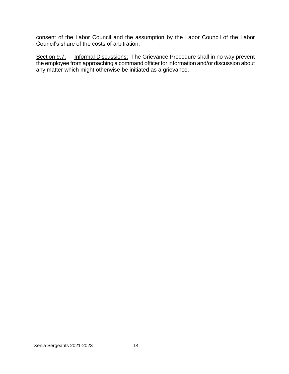consent of the Labor Council and the assumption by the Labor Council of the Labor Council's share of the costs of arbitration.

Section 9.7. Informal Discussions: The Grievance Procedure shall in no way prevent the employee from approaching a command officer for information and/or discussion about any matter which might otherwise be initiated as a grievance.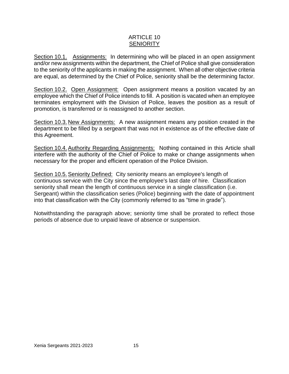# ARTICLE 10 **SENIORITY**

Section 10.1. Assignments: In determining who will be placed in an open assignment and/or new assignments within the department, the Chief of Police shall give consideration to the seniority of the applicants in making the assignment. When all other objective criteria are equal, as determined by the Chief of Police, seniority shall be the determining factor.

Section 10.2. Open Assignment: Open assignment means a position vacated by an employee which the Chief of Police intends to fill. A position is vacated when an employee terminates employment with the Division of Police, leaves the position as a result of promotion, is transferred or is reassigned to another section.

Section 10.3. New Assignments: A new assignment means any position created in the department to be filled by a sergeant that was not in existence as of the effective date of this Agreement.

Section 10.4.Authority Regarding Assignments: Nothing contained in this Article shall interfere with the authority of the Chief of Police to make or change assignments when necessary for the proper and efficient operation of the Police Division.

Section 10.5.Seniority Defined: City seniority means an employee's length of continuous service with the City since the employee's last date of hire. Classification seniority shall mean the length of continuous service in a single classification (i.e. Sergeant) within the classification series (Police) beginning with the date of appointment into that classification with the City (commonly referred to as "time in grade").

Notwithstanding the paragraph above; seniority time shall be prorated to reflect those periods of absence due to unpaid leave of absence or suspension.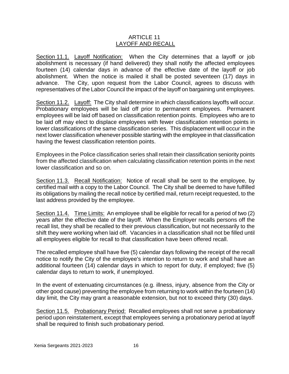# ARTICLE 11 LAYOFF AND RECALL

Section 11.1. Layoff Notification: When the City determines that a layoff or job abolishment is necessary (if hand delivered) they shall notify the affected employees fourteen (14) calendar days in advance of the effective date of the layoff or job abolishment. When the notice is mailed it shall be posted seventeen (17) days in advance. The City, upon request from the Labor Council, agrees to discuss with representatives of the Labor Council the impact of the layoff on bargaining unit employees.

Section 11.2. Layoff: The City shall determine in which classifications layoffs will occur. Probationary employees will be laid off prior to permanent employees. Permanent employees will be laid off based on classification retention points. Employees who are to be laid off may elect to displace employees with fewer classification retention points in lower classifications of the same classification series. This displacement will occur in the next lower classification whenever possible starting with the employee in that classification having the fewest classification retention points.

Employees in the Police classification series shall retain their classification seniority points from the affected classification when calculating classification retention points in the next lower classification and so on.

Section 11.3. Recall Notification: Notice of recall shall be sent to the employee, by certified mail with a copy to the Labor Council. The City shall be deemed to have fulfilled its obligations by mailing the recall notice by certified mail, return receipt requested, to the last address provided by the employee.

Section 11.4. Time Limits: An employee shall be eligible for recall for a period of two (2) years after the effective date of the layoff. When the Employer recalls persons off the recall list, they shall be recalled to their previous classification, but not necessarily to the shift they were working when laid off. Vacancies in a classification shall not be filled until all employees eligible for recall to that classification have been offered recall.

The recalled employee shall have five (5) calendar days following the receipt of the recall notice to notify the City of the employee's intention to return to work and shall have an additional fourteen (14) calendar days in which to report for duty, if employed; five (5) calendar days to return to work, if unemployed.

In the event of extenuating circumstances (e.g. illness, injury, absence from the City or other good cause) preventing the employee from returning to work within the fourteen (14) day limit, the City may grant a reasonable extension, but not to exceed thirty (30) days.

Section 11.5. Probationary Period: Recalled employees shall not serve a probationary period upon reinstatement, except that employees serving a probationary period at layoff shall be required to finish such probationary period.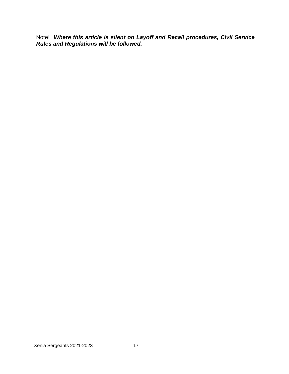Note! *Where this article is silent on Layoff and Recall procedures, Civil Service Rules and Regulations will be followed.*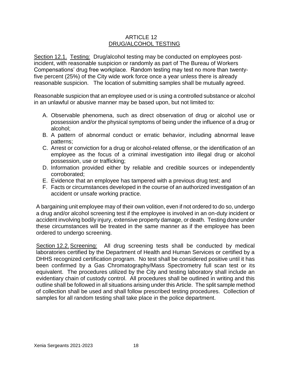# ARTICLE 12 DRUG/ALCOHOL TESTING

Section 12.1. Testing: Drug/alcohol testing may be conducted on employees postincident, with reasonable suspicion or randomly as part of The Bureau of Workers Compensations' drug free workplace. Random testing may test no more than twentyfive percent (25%) of the City wide work force once a year unless there is already reasonable suspicion. The location of submitting samples shall be mutually agreed.

Reasonable suspicion that an employee used or is using a controlled substance or alcohol in an unlawful or abusive manner may be based upon, but not limited to:

- A. Observable phenomena, such as direct observation of drug or alcohol use or possession and/or the physical symptoms of being under the influence of a drug or alcohol;
- B. A pattern of abnormal conduct or erratic behavior, including abnormal leave patterns;
- C. Arrest or conviction for a drug or alcohol-related offense, or the identification of an employee as the focus of a criminal investigation into illegal drug or alcohol possession, use or trafficking;
- D. Information provided either by reliable and credible sources or independently corroborated;
- E. Evidence that an employee has tampered with a previous drug test; and
- F. Facts or circumstances developed in the course of an authorized investigation of an accident or unsafe working practice.

A bargaining unit employee may of their own volition, even if not ordered to do so, undergo a drug and/or alcohol screening test if the employee is involved in an on-duty incident or accident involving bodily injury, extensive property damage, or death. Testing done under these circumstances will be treated in the same manner as if the employee has been ordered to undergo screening.

Section 12.2. Screening: All drug screening tests shall be conducted by medical laboratories certified by the Department of Health and Human Services or certified by a DHHS recognized certification program. No test shall be considered positive until it has been confirmed by a Gas Chromatography/Mass Spectrometry full scan test or its equivalent. The procedures utilized by the City and testing laboratory shall include an evidentiary chain of custody control. All procedures shall be outlined in writing and this outline shall be followed in all situations arising under this Article. The split sample method of collection shall be used and shall follow prescribed testing procedures. Collection of samples for all random testing shall take place in the police department.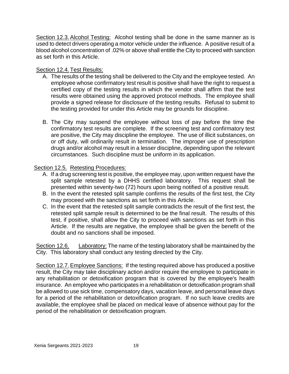Section 12.3. Alcohol Testing: Alcohol testing shall be done in the same manner as is used to detect drivers operating a motor vehicle under the influence. A positive result of a blood alcohol concentration of .02% or above shall entitle the City to proceed with sanction as set forth in this Article.

# Section 12.4. Test Results:

- A. The results of the testing shall be delivered to the City and the employee tested. An employee whose confirmatory test result is positive shall have the right to request a certified copy of the testing results in which the vendor shall affirm that the test results were obtained using the approved protocol methods. The employee shall provide a signed release for disclosure of the testing results. Refusal to submit to the testing provided for under this Article may be grounds for discipline.
- B. The City may suspend the employee without loss of pay before the time the confirmatory test results are complete. If the screening test and confirmatory test are positive, the City may discipline the employee. The use of illicit substances, on or off duty, will ordinarily result in termination. The improper use of prescription drugs and/or alcohol may result in a lesser discipline, depending upon the relevant circumstances. Such discipline must be uniform in its application.

# Section 12.5. Retesting Procedures:

- A. If a drug screening test is positive, the employee may, upon written request have the split sample retested by a DHHS certified laboratory. This request shall be presented within seventy-two (72) hours upon being notified of a positive result.
- B. In the event the retested split sample confirms the results of the first test, the City may proceed with the sanctions as set forth in this Article.
- C. In the event that the retested split sample contradicts the result of the first test, the retested split sample result is determined to be the final result. The results of this test, if positive, shall allow the City to proceed with sanctions as set forth in this Article. If the results are negative, the employee shall be given the benefit of the doubt and no sanctions shall be imposed.

Section 12.6. Laboratory: The name of the testing laboratory shall be maintained by the City. This laboratory shall conduct any testing directed by the City.

Section 12.7.Employee Sanctions: If the testing required above has produced a positive result, the City may take disciplinary action and/or require the employee to participate in any rehabilitation or detoxification program that is covered by the employee's health insurance. An employee who participates in a rehabilitation or detoxification program shall be allowed to use sick time, compensatory days, vacation leave, and personal leave days for a period of the rehabilitation or detoxification program. If no such leave credits are available, the employee shall be placed on medical leave of absence without pay for the period of the rehabilitation or detoxification program.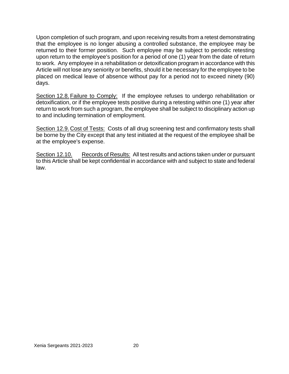Upon completion of such program, and upon receiving results from a retest demonstrating that the employee is no longer abusing a controlled substance, the employee may be returned to their former position. Such employee may be subject to periodic retesting upon return to the employee's position for a period of one (1) year from the date of return to work. Any employee in a rehabilitation or detoxification program in accordance with this Article will not lose any seniority or benefits, should it be necessary for the employee to be placed on medical leave of absence without pay for a period not to exceed ninety (90) days.

Section 12.8. Failure to Comply: If the employee refuses to undergo rehabilitation or detoxification, or if the employee tests positive during a retesting within one (1) year after return to work from such a program, the employee shall be subject to disciplinary action up to and including termination of employment.

Section 12.9. Cost of Tests: Costs of all drug screening test and confirmatory tests shall be borne by the City except that any test initiated at the request of the employee shall be at the employee's expense.

Section 12.10. Records of Results: All test results and actions taken under or pursuant to this Article shall be kept confidential in accordance with and subject to state and federal law.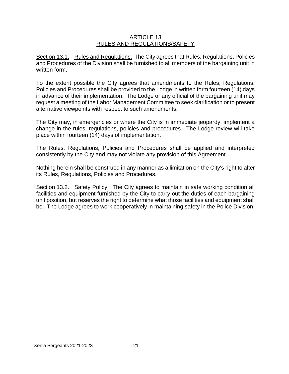# ARTICLE 13 RULES AND REGULATIONS/SAFETY

Section 13.1. Rules and Regulations: The City agrees that Rules, Regulations, Policies and Procedures of the Division shall be furnished to all members of the bargaining unit in written form.

To the extent possible the City agrees that amendments to the Rules, Regulations, Policies and Procedures shall be provided to the Lodge in written form fourteen (14) days in advance of their implementation. The Lodge or any official of the bargaining unit may request a meeting of the Labor Management Committee to seek clarification or to present alternative viewpoints with respect to such amendments.

The City may, in emergencies or where the City is in immediate jeopardy, implement a change in the rules, regulations, policies and procedures. The Lodge review will take place within fourteen (14) days of implementation.

The Rules, Regulations, Policies and Procedures shall be applied and interpreted consistently by the City and may not violate any provision of this Agreement.

Nothing herein shall be construed in any manner as a limitation on the City's right to alter its Rules, Regulations, Policies and Procedures.

Section 13.2. Safety Policy: The City agrees to maintain in safe working condition all facilities and equipment furnished by the City to carry out the duties of each bargaining unit position, but reserves the right to determine what those facilities and equipment shall be. The Lodge agrees to work cooperatively in maintaining safety in the Police Division.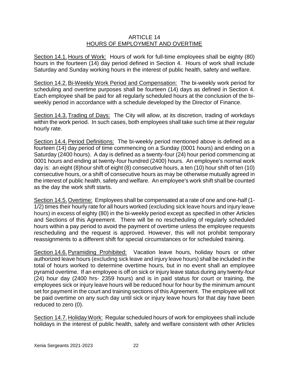# ARTICLE 14 HOURS OF EMPLOYMENT AND OVERTIME

Section 14.1. Hours of Work: Hours of work for full-time employees shall be eighty (80) hours in the fourteen (14) day period defined in Section 4. Hours of work shall include Saturday and Sunday working hours in the interest of public health, safety and welfare.

Section 14.2. Bi-Weekly Work Period and Compensation: The bi-weekly work period for scheduling and overtime purposes shall be fourteen (14) days as defined in Section 4. Each employee shall be paid for all regularly scheduled hours at the conclusion of the biweekly period in accordance with a schedule developed by the Director of Finance.

Section 14.3. Trading of Days: The City will allow, at its discretion, trading of workdays within the work period. In such cases, both employees shall take such time at their regular hourly rate.

Section 14.4.Period Definitions: The bi-weekly period mentioned above is defined as a fourteen (14) day period of time commencing on a Sunday (0001 hours) and ending on a Saturday (2400 hours). A day is defined as a twenty-four (24) hour period commencing at 0001 hours and ending at twenty-four hundred (2400) hours. An employee's normal work day is: an eight (8)hour shift of eight (8) consecutive hours, a ten (10) hour shift of ten (10) consecutive hours, or a shift of consecutive hours as may be otherwise mutually agreed in the interest of public health, safety and welfare. An employee's work shift shall be counted as the day the work shift starts.

Section 14.5. Overtime: Employees shall be compensated at a rate of one and one-half (1- 1/2) times their hourly rate for all hours worked (excluding sick leave hours and injury leave hours) in excess of eighty (80) in the bi-weekly period except as specified in other Articles and Sections of this Agreement. There will be no rescheduling of regularly scheduled hours within a pay period to avoid the payment of overtime unless the employee requests rescheduling and the request is approved. However, this will not prohibit temporary reassignments to a different shift for special circumstances or for scheduled training.

Section 14.6.Pyramiding Prohibited: Vacation leave hours, holiday hours or other authorized leave hours (excluding sick leave and injury leave hours) shall be included in the total of hours worked to determine overtime hours, but in no event shall an employee pyramid overtime. If an employee is off on sick or injury leave status during any twenty-four (24) hour day (2400 hrs- 2359 hours) and is in paid status for court or training, the employees sick or injury leave hours will be reduced hour for hour by the minimum amount set for payment in the court and training sections of this Agreement. The employee will not be paid overtime on any such day until sick or injury leave hours for that day have been reduced to zero (0).

Section 14.7. Holiday Work: Regular scheduled hours of work for employees shall include holidays in the interest of public health, safety and welfare consistent with other Articles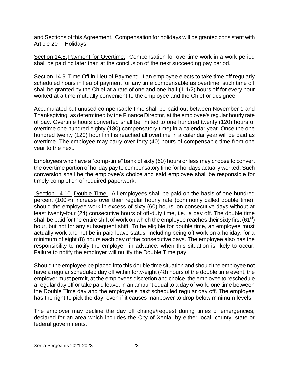and Sections of this Agreement. Compensation for holidays will be granted consistent with Article 20 -- Holidays.

Section 14.8. Payment for Overtime: Compensation for overtime work in a work period shall be paid no later than at the conclusion of the next succeeding pay period.

Section 14.9 Time Off in Lieu of Payment: If an employee elects to take time off regularly scheduled hours in lieu of payment for any time compensable as overtime, such time off shall be granted by the Chief at a rate of one and one-half (1-1/2) hours off for every hour worked at a time mutually convenient to the employee and the Chief or designee

Accumulated but unused compensable time shall be paid out between November 1 and Thanksgiving, as determined by the Finance Director, at the employee's regular hourly rate of pay. Overtime hours converted shall be limited to one hundred twenty (120) hours of overtime one hundred eighty (180) compensatory time) in a calendar year. Once the one hundred twenty (120) hour limit is reached all overtime in a calendar year will be paid as overtime. The employee may carry over forty (40) hours of compensable time from one year to the next.

Employees who have a "comp-time" bank of sixty (60) hours or less may choose to convert the overtime portion of holiday pay to compensatory time for holidays actually worked. Such conversion shall be the employee's choice and said employee shall be responsible for timely completion of required paperwork.

Section 14.10. Double Time: All employees shall be paid on the basis of one hundred percent (100%) increase over their regular hourly rate (commonly called double time), should the employee work in excess of sixty (60) hours, on consecutive days without at least twenty-four (24) consecutive hours of off-duty time, i.e., a day off. The double time shall be paid for the entire shift of work on which the employee reaches their sixty first (61<sup>st</sup>) hour, but not for any subsequent shift. To be eligible for double time, an employee must actually work and not be in paid leave status, including being off work on a holiday, for a minimum of eight (8) hours each day of the consecutive days. The employee also has the responsibility to notify the employer, in advance, when this situation is likely to occur. Failure to notify the employer will nullify the Double Time pay.

Should the employee be placed into this double time situation and should the employee not have a regular scheduled day off within forty-eight (48) hours of the double time event, the employer must permit, at the employees discretion and choice, the employee to reschedule a regular day off or take paid leave, in an amount equal to a day of work, one time between the Double Time day and the employee's next scheduled regular day off. The employee has the right to pick the day, even if it causes manpower to drop below minimum levels.

The employer may decline the day off change/request during times of emergencies, declared for an area which includes the City of Xenia, by either local, county, state or federal governments.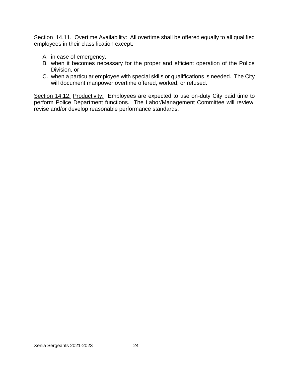Section 14.11. Overtime Availability: All overtime shall be offered equally to all qualified employees in their classification except:

- A. in case of emergency,
- B. when it becomes necessary for the proper and efficient operation of the Police Division, or
- C. when a particular employee with special skills or qualifications is needed. The City will document manpower overtime offered, worked, or refused.

Section 14.12. Productivity: Employees are expected to use on-duty City paid time to perform Police Department functions. The Labor/Management Committee will review, revise and/or develop reasonable performance standards.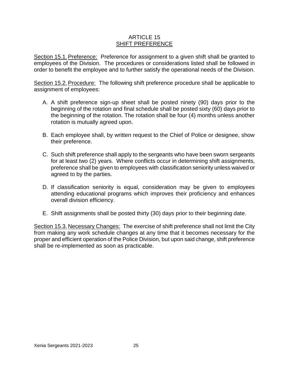# ARTICLE 15 SHIFT PREFERENCE

Section 15.1. Preference: Preference for assignment to a given shift shall be granted to employees of the Division. The procedures or considerations listed shall be followed in order to benefit the employee and to further satisfy the operational needs of the Division.

Section 15.2. Procedure: The following shift preference procedure shall be applicable to assignment of employees:

- A. A shift preference sign-up sheet shall be posted ninety (90) days prior to the beginning of the rotation and final schedule shall be posted sixty (60) days prior to the beginning of the rotation. The rotation shall be four (4) months unless another rotation is mutually agreed upon.
- B. Each employee shall, by written request to the Chief of Police or designee, show their preference.
- C. Such shift preference shall apply to the sergeants who have been sworn sergeants for at least two (2) years. Where conflicts occur in determining shift assignments, preference shall be given to employees with classification seniority unless waived or agreed to by the parties.
- D. If classification seniority is equal, consideration may be given to employees attending educational programs which improves their proficiency and enhances overall division efficiency.
- E. Shift assignments shall be posted thirty (30) days prior to their beginning date.

Section 15.3. Necessary Changes: The exercise of shift preference shall not limit the City from making any work schedule changes at any time that it becomes necessary for the proper and efficient operation of the Police Division, but upon said change, shift preference shall be re-implemented as soon as practicable.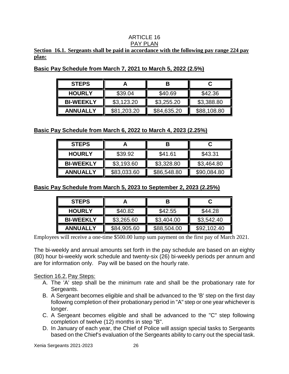#### ARTICLE 16 PAY PLAN

# **Section 16.1. Sergeants shall be paid in accordance with the following pay range 224 pay plan:**

| <b>STEPS</b>     |             |             |             |
|------------------|-------------|-------------|-------------|
| <b>HOURLY</b>    | \$39.04     | \$40.69     | \$42.36     |
| <b>BI-WEEKLY</b> | \$3,123.20  | \$3,255.20  | \$3,388.80  |
| <b>ANNUALLY</b>  | \$81,203.20 | \$84,635.20 | \$88,108.80 |

**Basic Pay Schedule from March 7, 2021 to March 5, 2022 (2.5%)**

**Basic Pay Schedule from March 6, 2022 to March 4, 2023 (2.25%)**

| <b>STEPS</b>     |             |             |             |
|------------------|-------------|-------------|-------------|
| <b>HOURLY</b>    | \$39.92     | \$41.61     | \$43.31     |
| <b>BI-WEEKLY</b> | \$3,193.60  | \$3,328.80  | \$3,464.80  |
| <b>ANNUALLY</b>  | \$83,033.60 | \$86,548.80 | \$90,084.80 |

**Basic Pay Schedule from March 5, 2023 to September 2, 2023 (2.25%)**

| <b>STEPS</b>     |             |             |             |
|------------------|-------------|-------------|-------------|
| <b>HOURLY</b>    | \$40.82     | \$42.55     | \$44.28     |
| <b>BI-WEEKLY</b> | \$3,265.60  | \$3,404.00  | \$3,542.40  |
| <b>ANNUALLY</b>  | \$84,905.60 | \$88,504.00 | \$92,102.40 |

Employees will receive a one-time \$500.00 lump sum payment on the first pay of March 2021.

The bi-weekly and annual amounts set forth in the pay schedule are based on an eighty (80) hour bi-weekly work schedule and twenty-six (26) bi-weekly periods per annum and are for information only. Pay will be based on the hourly rate.

# Section 16.2. Pay Steps:

- A. The 'A' step shall be the minimum rate and shall be the probationary rate for Sergeants.
- B. A Sergeant becomes eligible and shall be advanced to the 'B' step on the first day following completion of their probationary period in "A" step or one year whichever is longer.
- C. A Sergeant becomes eligible and shall be advanced to the "C" step following completion of twelve (12) months in step "B".
- D. In January of each year, the Chief of Police will assign special tasks to Sergeants based on the Chief's evaluation of the Sergeants ability to carry out the special task.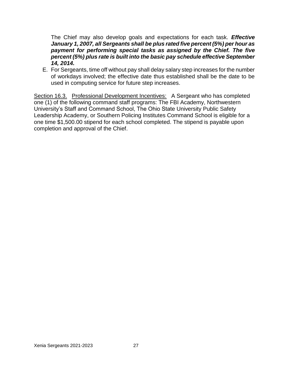The Chief may also develop goals and expectations for each task. *Effective January 1, 2007, all Sergeants shall be plus rated five percent (5%) per hour as payment for performing special tasks as assigned by the Chief. The five percent (5%) plus rate is built into the basic pay schedule effective September 14, 2014.*

E. For Sergeants, time off without pay shall delay salary step increases for the number of workdays involved; the effective date thus established shall be the date to be used in computing service for future step increases.

Section 16.3. Professional Development Incentives: A Sergeant who has completed one (1) of the following command staff programs: The FBI Academy, Northwestern University's Staff and Command School, The Ohio State University Public Safety Leadership Academy, or Southern Policing Institutes Command School is eligible for a one time \$1,500.00 stipend for each school completed. The stipend is payable upon completion and approval of the Chief.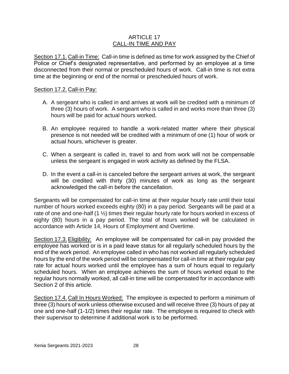# ARTICLE 17 CALL-IN TIME AND PAY

Section 17.1. Call-in Time: Call-in time is defined as time for work assigned by the Chief of Police or Chief's designated representative, and performed by an employee at a time disconnected from their normal or prescheduled hours of work. Call-in time is not extra time at the beginning or end of the normal or prescheduled hours of work.

# Section 17.2. Call-in Pay:

- A. A sergeant who is called in and arrives at work will be credited with a minimum of three (3) hours of work. A sergeant who is called in and works more than three (3) hours will be paid for actual hours worked.
- B. An employee required to handle a work-related matter where their physical presence is not needed will be credited with a minimum of one (1) hour of work or actual hours, whichever is greater.
- C. When a sergeant is called in, travel to and from work will not be compensable unless the sergeant is engaged in work activity as defined by the FLSA.
- D. In the event a call-in is canceled before the sergeant arrives at work, the sergeant will be credited with thirty (30) minutes of work as long as the sergeant acknowledged the call-in before the cancellation.

Sergeants will be compensated for call-in time at their regular hourly rate until their total number of hours worked exceeds eighty (80) in a pay period. Sergeants will be paid at a rate of one and one-half (1 ½) times their regular hourly rate for hours worked in excess of eighty (80) hours in a pay period. The total of hours worked will be calculated in accordance with Article 14, Hours of Employment and Overtime.

Section 17.3.Eligibility: An employee will be compensated for call-in pay provided the employee has worked or is in a paid leave status for all regularly scheduled hours by the end of the work period. An employee called in who has not worked all regularly scheduled hours by the end of the work period will be compensated for call-in time at their regular pay rate for actual hours worked until the employee has a sum of hours equal to regularly scheduled hours. When an employee achieves the sum of hours worked equal to the regular hours normally worked, all call-in time will be compensated for in accordance with Section 2 of this article.

Section 17.4. Call In Hours Worked: The employee is expected to perform a minimum of three (3) hours of work unless otherwise excused and will receive three (3) hours of pay at one and one-half (1-1/2) times their regular rate. The employee is required to check with their supervisor to determine if additional work is to be performed.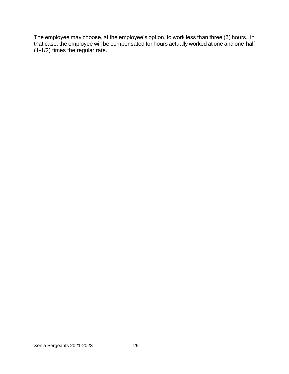The employee may choose, at the employee's option, to work less than three (3) hours. In that case, the employee will be compensated for hours actually worked at one and one-half (1-1/2) times the regular rate.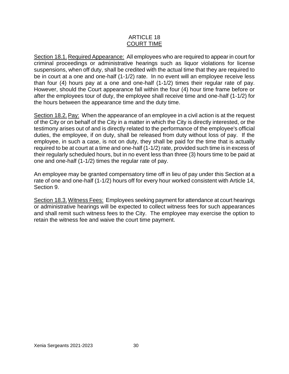# ARTICLE 18 COURT TIME

Section 18.1. Required Appearance: All employees who are required to appear in court for criminal proceedings or administrative hearings such as liquor violations for license suspensions, when off duty, shall be credited with the actual time that they are required to be in court at a one and one-half (1-1/2) rate. In no event will an employee receive less than four (4) hours pay at a one and one-half (1-1/2) times their regular rate of pay. However, should the Court appearance fall within the four (4) hour time frame before or after the employees tour of duty, the employee shall receive time and one-half (1-1/2) for the hours between the appearance time and the duty time.

Section 18.2.Pay: When the appearance of an employee in a civil action is at the request of the City or on behalf of the City in a matter in which the City is directly interested, or the testimony arises out of and is directly related to the performance of the employee's official duties, the employee, if on duty, shall be released from duty without loss of pay. If the employee, in such a case, is not on duty, they shall be paid for the time that is actually required to be at court at a time and one-half (1-1/2) rate, provided such time is in excess of their regularly scheduled hours, but in no event less than three (3) hours time to be paid at one and one-half (1-1/2) times the regular rate of pay.

An employee may be granted compensatory time off in lieu of pay under this Section at a rate of one and one-half (1-1/2) hours off for every hour worked consistent with Article 14, Section 9.

Section 18.3.Witness Fees: Employees seeking payment for attendance at court hearings or administrative hearings will be expected to collect witness fees for such appearances and shall remit such witness fees to the City. The employee may exercise the option to retain the witness fee and waive the court time payment.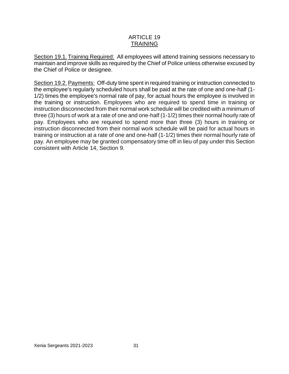# ARTICLE 19 TRAINING

Section 19.1. Training Required: All employees will attend training sessions necessary to maintain and improve skills as required by the Chief of Police unless otherwise excused by the Chief of Police or designee.

Section 19.2. Payments: Off-duty time spent in required training or instruction connected to the employee's regularly scheduled hours shall be paid at the rate of one and one-half (1- 1/2) times the employee's normal rate of pay, for actual hours the employee is involved in the training or instruction. Employees who are required to spend time in training or instruction disconnected from their normal work schedule will be credited with a minimum of three (3) hours of work at a rate of one and one-half (1-1/2) times their normal hourly rate of pay. Employees who are required to spend more than three (3) hours in training or instruction disconnected from their normal work schedule will be paid for actual hours in training or instruction at a rate of one and one-half (1-1/2) times their normal hourly rate of pay. An employee may be granted compensatory time off in lieu of pay under this Section consistent with Article 14, Section 9.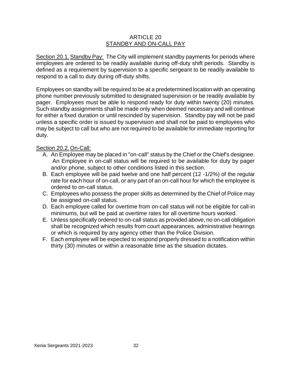# ARTICLE 20 STANDBY AND ON-CALL PAY

Section 20.1.Standby Pay: The City will implement standby payments for periods where employees are ordered to be readily available during off-duty shift periods. Standby is defined as a requirement by supervision to a specific sergeant to be readily available to respond to a call to duty during off-duty shifts.

Employees on standby will be required to be at a predetermined location with an operating phone number previously submitted to designated supervision or be readily available by pager. Employees must be able to respond ready for duty within twenty (20) minutes. Such standby assignments shall be made only when deemed necessary and will continue for either a fixed duration or until rescinded by supervision. Standby pay will not be paid unless a specific order is issued by supervision and shall not be paid to employees who may be subject to call but who are not required to be available for immediate reporting for duty.

# Section 20.2. On-Call:

- A. An Employee may be placed in "on-call" status by the Chief or the Chief's designee. An Employee in on-call status will be required to be available for duty by pager and/or phone, subject to other conditions listed in this section.
- B. Each employee will be paid twelve and one half percent (12 -1/2%) of the regular rate for each hour of on-call, or any part of an on-call hour for which the employee is ordered to on-call status.
- C. Employees who possess the proper skills as determined by the Chief of Police may be assigned on-call status.
- D. Each employee called for overtime from on-call status will not be eligible for call-in minimums, but will be paid at overtime rates for all overtime hours worked.
- E. Unless specifically ordered to on-call status as provided above, no on-call obligation shall be recognized which results from court appearances, administrative hearings or which is required by any agency other than the Police Division.
- F. Each employee will be expected to respond properly dressed to a notification within thirty (30) minutes or within a reasonable time as the situation dictates.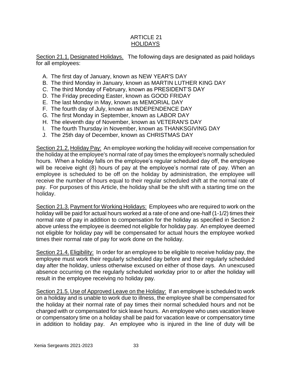# ARTICLE 21 HOLIDAYS

Section 21.1. Designated Holidays. The following days are designated as paid holidays for all employees:

- A. The first day of January, known as NEW YEAR'S DAY
- B. The third Monday in January, known as MARTIN LUTHER KING DAY
- C. The third Monday of February, known as PRESIDENT'S DAY
- D. The Friday preceding Easter, known as GOOD FRIDAY
- E. The last Monday in May, known as MEMORIAL DAY
- F. The fourth day of July, known as INDEPENDENCE DAY
- G. The first Monday in September, known as LABOR DAY
- H. The eleventh day of November, known as VETERAN'S DAY
- I. The fourth Thursday in November, known as THANKSGIVING DAY
- J. The 25th day of December, known as CHRISTMAS DAY

Section 21.2. Holiday Pay: An employee working the holiday will receive compensation for the holiday at the employee's normal rate of pay times the employee's normally scheduled hours. When a holiday falls on the employee's regular scheduled day off, the employee will be receive eight (8) hours of pay at the employee's normal rate of pay. When an employee is scheduled to be off on the holiday by administration, the employee will receive the number of hours equal to their regular scheduled shift at the normal rate of pay. For purposes of this Article, the holiday shall be the shift with a starting time on the holiday.

Section 21.3. Payment for Working Holidays: Employees who are required to work on the holiday will be paid for actual hours worked at a rate of one and one-half (1-1/2) times their normal rate of pay in addition to compensation for the holiday as specified in Section 2 above unless the employee is deemed not eligible for holiday pay. An employee deemed not eligible for holiday pay will be compensated for actual hours the employee worked times their normal rate of pay for work done on the holiday.

Section 21.4.Eligibility: In order for an employee to be eligible to receive holiday pay, the employee must work their regularly scheduled day before and their regularly scheduled day after the holiday, unless otherwise excused on either of those days. An unexcused absence occurring on the regularly scheduled workday prior to or after the holiday will result in the employee receiving no holiday pay.

Section 21.5. Use of Approved Leave on the Holiday: If an employee is scheduled to work on a holiday and is unable to work due to illness, the employee shall be compensated for the holiday at their normal rate of pay times their normal scheduled hours and not be charged with or compensated for sick leave hours. An employee who uses vacation leave or compensatory time on a holiday shall be paid for vacation leave or compensatory time in addition to holiday pay. An employee who is injured in the line of duty will be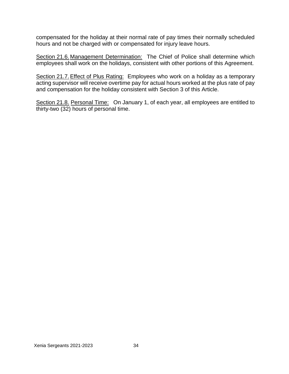compensated for the holiday at their normal rate of pay times their normally scheduled hours and not be charged with or compensated for injury leave hours.

Section 21.6. Management Determination: The Chief of Police shall determine which employees shall work on the holidays, consistent with other portions of this Agreement.

Section 21.7. Effect of Plus Rating: Employees who work on a holiday as a temporary acting supervisor will receive overtime pay for actual hours worked at the plus rate of pay and compensation for the holiday consistent with Section 3 of this Article.

Section 21.8. Personal Time: On January 1, of each year, all employees are entitled to thirty-two (32) hours of personal time.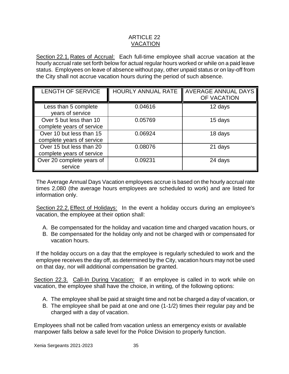# ARTICLE 22 VACATION

Section 22.1. Rates of Accrual: Each full-time employee shall accrue vacation at the hourly accrual rate set forth below for actual regular hours worked or while on a paid leave status. Employees on leave of absence without pay, other unpaid status or on lay-off from the City shall not accrue vacation hours during the period of such absence.

| <b>LENGTH OF SERVICE</b>                              | HOURLY ANNUAL RATE | <b>AVERAGE ANNUAL DAYS</b><br>OF VACATION |
|-------------------------------------------------------|--------------------|-------------------------------------------|
| Less than 5 complete<br>years of service              | 0.04616            | 12 days                                   |
| Over 5 but less than 10<br>complete years of service  | 0.05769            | 15 days                                   |
| Over 10 but less than 15<br>complete years of service | 0.06924            | 18 days                                   |
| Over 15 but less than 20<br>complete years of service | 0.08076            | 21 days                                   |
| Over 20 complete years of<br>service                  | 0.09231            | 24 days                                   |

The Average Annual Days Vacation employees accrue is based on the hourly accrual rate times 2,080 (the average hours employees are scheduled to work) and are listed for information only.

Section 22.2.Effect of Holidays: In the event a holiday occurs during an employee's vacation, the employee at their option shall:

- A. Be compensated for the holiday and vacation time and charged vacation hours, or
- B. Be compensated for the holiday only and not be charged with or compensated for vacation hours.

If the holiday occurs on a day that the employee is regularly scheduled to work and the employee receives the day off, as determined by the City, vacation hours may not be used on that day, nor will additional compensation be granted.

Section 22.3. Call-In During Vacation: If an employee is called in to work while on vacation, the employee shall have the choice, in writing, of the following options:

- A. The employee shall be paid at straight time and not be charged a day of vacation, or
- B. The employee shall be paid at one and one (1-1/2) times their regular pay and be charged with a day of vacation.

Employees shall not be called from vacation unless an emergency exists or available manpower falls below a safe level for the Police Division to properly function.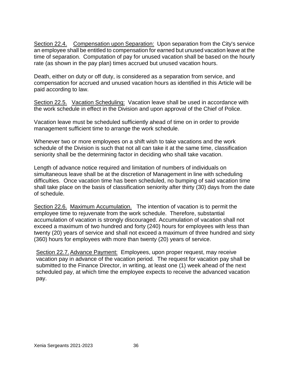Section 22.4. Compensation upon Separation: Upon separation from the City's service an employee shall be entitled to compensation for earned but unused vacation leave at the time of separation. Computation of pay for unused vacation shall be based on the hourly rate (as shown in the pay plan) times accrued but unused vacation hours.

Death, either on duty or off duty, is considered as a separation from service, and compensation for accrued and unused vacation hours as identified in this Article will be paid according to law.

Section 22.5. Vacation Scheduling: Vacation leave shall be used in accordance with the work schedule in effect in the Division and upon approval of the Chief of Police.

Vacation leave must be scheduled sufficiently ahead of time on in order to provide management sufficient time to arrange the work schedule.

Whenever two or more employees on a shift wish to take vacations and the work schedule of the Division is such that not all can take it at the same time, classification seniority shall be the determining factor in deciding who shall take vacation.

Length of advance notice required and limitation of numbers of individuals on simultaneous leave shall be at the discretion of Management in line with scheduling difficulties. Once vacation time has been scheduled, no bumping of said vacation time shall take place on the basis of classification seniority after thirty (30) days from the date of schedule.

Section 22.6. Maximum Accumulation. The intention of vacation is to permit the employee time to rejuvenate from the work schedule. Therefore, substantial accumulation of vacation is strongly discouraged. Accumulation of vacation shall not exceed a maximum of two hundred and forty (240) hours for employees with less than twenty (20) years of service and shall not exceed a maximum of three hundred and sixty (360) hours for employees with more than twenty (20) years of service.

Section 22.7.Advance Payment: Employees, upon proper request, may receive vacation pay in advance of the vacation period. The request for vacation pay shall be submitted to the Finance Director, in writing, at least one (1) week ahead of the next scheduled pay, at which time the employee expects to receive the advanced vacation pay.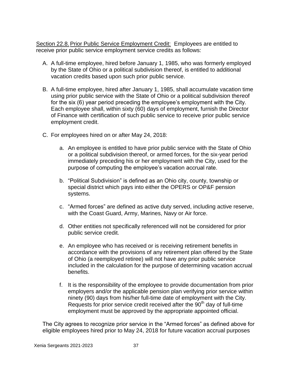Section 22.8. Prior Public Service Employment Credit: Employees are entitled to receive prior public service employment service credits as follows:

- A. A full-time employee, hired before January 1, 1985, who was formerly employed by the State of Ohio or a political subdivision thereof, is entitled to additional vacation credits based upon such prior public service.
- B. A full-time employee, hired after January 1, 1985, shall accumulate vacation time using prior public service with the State of Ohio or a political subdivision thereof for the six (6) year period preceding the employee's employment with the City. Each employee shall, within sixty (60) days of employment, furnish the Director of Finance with certification of such public service to receive prior public service employment credit.
- C. For employees hired on or after May 24, 2018:
	- a. An employee is entitled to have prior public service with the State of Ohio or a political subdivision thereof, or armed forces, for the six-year period immediately preceding his or her employment with the City, used for the purpose of computing the employee's vacation accrual rate.
	- b. "Political Subdivision" is defined as an Ohio city, county, township or special district which pays into either the OPERS or OP&F pension systems.
	- c. "Armed forces" are defined as active duty served, including active reserve, with the Coast Guard, Army, Marines, Navy or Air force.
	- d. Other entities not specifically referenced will not be considered for prior public service credit.
	- e. An employee who has received or is receiving retirement benefits in accordance with the provisions of any retirement plan offered by the State of Ohio (a reemployed retiree) will not have any prior public service included in the calculation for the purpose of determining vacation accrual benefits.
	- f. It is the responsibility of the employee to provide documentation from prior employers and/or the applicable pension plan verifying prior service within ninety (90) days from his/her full-time date of employment with the City. Requests for prior service credit received after the  $90<sup>th</sup>$  day of full-time employment must be approved by the appropriate appointed official.

The City agrees to recognize prior service in the "Armed forces" as defined above for eligible employees hired prior to May 24, 2018 for future vacation accrual purposes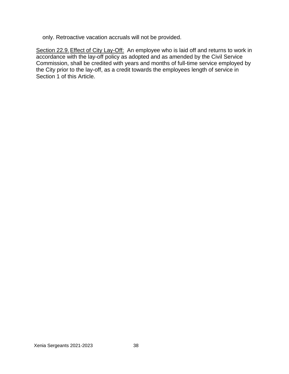only. Retroactive vacation accruals will not be provided.

Section 22.9. Effect of City Lay-Off: An employee who is laid off and returns to work in accordance with the lay-off policy as adopted and as amended by the Civil Service Commission, shall be credited with years and months of full-time service employed by the City prior to the lay-off, as a credit towards the employees length of service in Section 1 of this Article.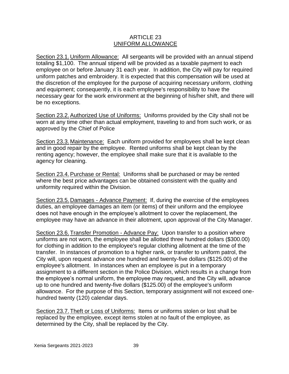# ARTICLE 23 UNIFORM ALLOWANCE

Section 23.1. Uniform Allowance: All sergeants will be provided with an annual stipend totaling \$1,100. The annual stipend will be provided as a taxable payment to each employee on or before January 31 each year. In addition, the City will pay for required uniform patches and embroidery. It is expected that this compensation will be used at the discretion of the employee for the purpose of acquiring necessary uniform, clothing and equipment; consequently, it is each employee's responsibility to have the necessary gear for the work environment at the beginning of his/her shift, and there will be no exceptions.

Section 23.2.Authorized Use of Uniforms: Uniforms provided by the City shall not be worn at any time other than actual employment, traveling to and from such work, or as approved by the Chief of Police

Section 23.3. Maintenance: Each uniform provided for employees shall be kept clean and in good repair by the employee. Rented uniforms shall be kept clean by the renting agency; however, the employee shall make sure that it is available to the agency for cleaning.

Section 23.4.Purchase or Rental: Uniforms shall be purchased or may be rented where the best price advantages can be obtained consistent with the quality and uniformity required within the Division.

Section 23.5. Damages - Advance Payment: If, during the exercise of the employees duties, an employee damages an item (or items) of their uniform and the employee does not have enough in the employee's allotment to cover the replacement, the employee may have an advance in their allotment, upon approval of the City Manager.

Section 23.6. Transfer Promotion - Advance Pay: Upon transfer to a position where uniforms are not worn, the employee shall be allotted three hundred dollars (\$300.00) for clothing in addition to the employee's regular clothing allotment at the time of the transfer. In instances of promotion to a higher rank, or transfer to uniform patrol, the City will, upon request advance one hundred and twenty-five dollars (\$125.00) of the employee's allotment. In instances when an employee is put in a temporary assignment to a different section in the Police Division, which results in a change from the employee's normal uniform, the employee may request, and the City will, advance up to one hundred and twenty-five dollars (\$125.00) of the employee's uniform allowance. For the purpose of this Section, temporary assignment will not exceed onehundred twenty (120) calendar days.

Section 23.7. Theft or Loss of Uniforms: Items or uniforms stolen or lost shall be replaced by the employee, except items stolen at no fault of the employee, as determined by the City, shall be replaced by the City.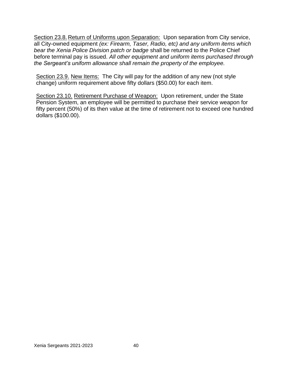Section 23.8. Return of Uniforms upon Separation: Upon separation from City service, all City-owned equipment *(ex: Firearm, Taser, Radio, etc) and any uniform items which bear the Xenia Police Division patch or badge* shall be returned to the Police Chief before terminal pay is issued. *All other equipment and uniform items purchased through the Sergeant's uniform allowance shall remain the property of the employee.*

Section 23.9. New Items: The City will pay for the addition of any new (not style change) uniform requirement above fifty dollars (\$50.00) for each item.

Section 23.10. Retirement Purchase of Weapon: Upon retirement, under the State Pension System, an employee will be permitted to purchase their service weapon for fifty percent (50%) of its then value at the time of retirement not to exceed one hundred dollars (\$100.00).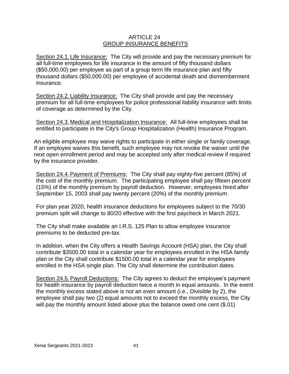# ARTICLE 24 GROUP INSURANCE BENEFITS

Section 24.1. Life Insurance: The City will provide and pay the necessary premium for all full-time employees for life insurance in the amount of fifty thousand dollars (\$50,000.00) per employee as part of a group term life insurance plan and fifty thousand dollars (\$50,000.00) per employee of accidental death and dismemberment insurance.

Section 24.2. Liability Insurance: The City shall provide and pay the necessary premium for all full-time employees for police professional liability insurance with limits of coverage as determined by the City.

Section 24.3. Medical and Hospitalization Insurance: All full-time employees shall be entitled to participate in the City's Group Hospitalization (Health) Insurance Program.

An eligible employee may waive rights to participate in either single or family coverage. If an employee waives this benefit, such employee may not revoke the waiver until the next open enrollment period and may be accepted only after medical review if required by the insurance provider.

Section 24.4.Payment of Premiums: The City shall pay eighty-five percent (85%) of the cost of the monthly premium. The participating employee shall pay fifteen percent (15%) of the monthly premium by payroll deduction. However, employees hired after September 15, 2003 shall pay twenty percent (20%) of the monthly premium.

For plan year 2020, health insurance deductions for employees subject to the 70/30 premium split will change to 80/20 effective with the first paycheck in March 2021.

The City shall make available an I.R.S. 125 Plan to allow employee insurance premiums to be deducted pre-tax.

In addition, when the City offers a Health Savings Account (HSA) plan, the City shall contribute \$3500.00 total in a calendar year for employees enrolled in the HSA family plan or the City shall contribute \$1500.00 total in a calendar year for employees enrolled in the HSA single plan. The City shall determine the contribution dates.

Section 24.5. Payroll Deductions: The City agrees to deduct the employee's payment for health insurance by payroll deduction twice a month in equal amounts. In the event the monthly excess stated above is not an even amount (i.e., Divisible by 2), the employee shall pay two (2) equal amounts not to exceed the monthly excess, the City will pay the monthly amount listed above plus the balance owed one cent (\$.01)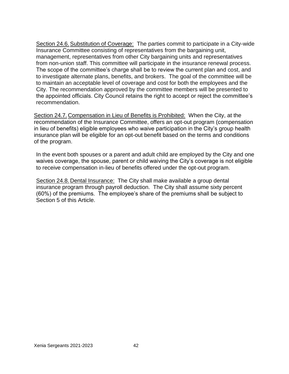Section 24.6. Substitution of Coverage: The parties commit to participate in a City-wide Insurance Committee consisting of representatives from the bargaining unit, management, representatives from other City bargaining units and representatives from non-union staff. This committee will participate in the insurance renewal process. The scope of the committee's charge shall be to review the current plan and cost, and to investigate alternate plans, benefits, and brokers. The goal of the committee will be to maintain an acceptable level of coverage and cost for both the employees and the City. The recommendation approved by the committee members will be presented to the appointed officials. City Council retains the right to accept or reject the committee's recommendation.

Section 24.7. Compensation in Lieu of Benefits is Prohibited: When the City, at the recommendation of the Insurance Committee, offers an opt-out program (compensation in lieu of benefits) eligible employees who waive participation in the City's group health insurance plan will be eligible for an opt-out benefit based on the terms and conditions of the program.

In the event both spouses or a parent and adult child are employed by the City and one waives coverage, the spouse, parent or child waiving the City's coverage is not eligible to receive compensation in-lieu of benefits offered under the opt-out program.

Section 24.8. Dental Insurance: The City shall make available a group dental insurance program through payroll deduction. The City shall assume sixty percent (60%) of the premiums. The employee's share of the premiums shall be subject to Section 5 of this Article.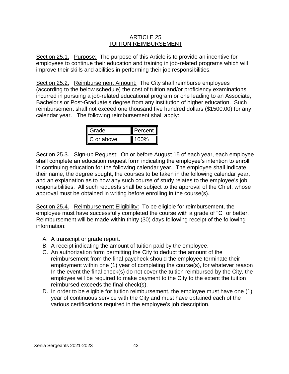# ARTICLE 25 TUITION REIMBURSEMENT

Section 25.1. Purpose: The purpose of this Article is to provide an incentive for employees to continue their education and training in job-related programs which will improve their skills and abilities in performing their job responsibilities.

Section 25.2. Reimbursement Amount: The City shall reimburse employees (according to the below schedule) the cost of tuition and/or proficiency examinations incurred in pursuing a job-related educational program or one leading to an Associate, Bachelor's or Post-Graduate's degree from any institution of higher education. Such reimbursement shall not exceed one thousand five hundred dollars (\$1500.00) for any calendar year. The following reimbursement shall apply:

| anan <del>f</del> | ercent |
|-------------------|--------|
| or above          | 00%    |

Section 25.3. Sign-up Request: On or before August 15 of each year, each employee shall complete an education request form indicating the employee's intention to enroll in continuing education for the following calendar year. The employee shall indicate their name, the degree sought, the courses to be taken in the following calendar year, and an explanation as to how any such course of study relates to the employee's job responsibilities. All such requests shall be subject to the approval of the Chief, whose approval must be obtained in writing before enrolling in the course(s).

Section 25.4. Reimbursement Eligibility: To be eligible for reimbursement, the employee must have successfully completed the course with a grade of "C" or better. Reimbursement will be made within thirty (30) days following receipt of the following information:

- A. A transcript or grade report.
- B. A receipt indicating the amount of tuition paid by the employee.
- C. An authorization form permitting the City to deduct the amount of the reimbursement from the final paycheck should the employee terminate their employment within one (1) year of completing the course(s), for whatever reason, In the event the final check(s) do not cover the tuition reimbursed by the City, the employee will be required to make payment to the City to the extent the tuition reimbursed exceeds the final check(s).
- D. In order to be eligible for tuition reimbursement, the employee must have one (1) year of continuous service with the City and must have obtained each of the various certifications required in the employee's job description.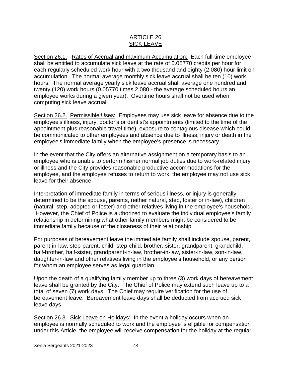# ARTICLE 26 SICK LEAVE

Section 26.1. Rates of Accrual and maximum Accumulation: Each full-time employee shall be entitled to accumulate sick leave at the rate of 0.05770 credits per hour for each regularly scheduled work hour with a two thousand and eighty (2,080) hour limit on accumulation. The normal average monthly sick leave accrual shall be ten (10) work hours. The normal average yearly sick leave accrual shall average one hundred and twenty (120) work hours (0.05770 times 2,080 - the average scheduled hours an employee works during a given year). Overtime hours shall not be used when computing sick leave accrual.

Section 26.2. Permissible Uses: Employees may use sick leave for absence due to the employee's illness, injury, doctor's or dentist's appointments (limited to the time of the appointment plus reasonable travel time), exposure to contagious disease which could be communicated to other employees and absence due to illness, injury or death in the employee's immediate family when the employee's presence is necessary.

In the event that the City offers an alternative assignment on a temporary basis to an employee who is unable to perform his/her normal job duties due to work-related injury or illness and the City provides reasonable productive accommodations for the employee, and the employee refuses to return to work, the employee may not use sick leave for their absence.

Interpretation of immediate family in terms of serious illness, or injury is generally determined to be the spouse, parents, (either natural, step, foster or in-law), children (natural, step, adopted or foster) and other relatives living in the employee's household. However, the Chief of Police is authorized to evaluate the individual employee's family relationship in determining what other family members might be considered to be immediate family because of the closeness of their relationship.

For purposes of bereavement leave the immediate family shall include spouse, parent, parent-in-law, step-parent, child, step-child, brother, sister, grandparent, grandchild, half-brother, half-sister, grandparent-in-law, brother-in-law, sister-in-law, son-in-law, daughter-in-law and other relatives living in the employee's household, or any person for whom an employee serves as legal guardian.

Upon the death of a qualifying family member up to three (3) work days of bereavement leave shall be granted by the City. The Chief of Police may extend such leave up to a total of seven (7) work days. The Chief may require verification for the use of bereavement leave. Bereavement leave days shall be deducted from accrued sick leave days.

Section 26.3. Sick Leave on Holidays: In the event a holiday occurs when an employee is normally scheduled to work and the employee is eligible for compensation under this Article, the employee will receive compensation for the holiday at the regular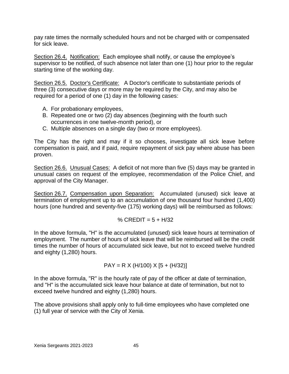pay rate times the normally scheduled hours and not be charged with or compensated for sick leave.

Section 26.4. Notification: Each employee shall notify, or cause the employee's supervisor to be notified, of such absence not later than one (1) hour prior to the regular starting time of the working day.

Section 26.5. Doctor's Certificate: A Doctor's certificate to substantiate periods of three (3) consecutive days or more may be required by the City, and may also be required for a period of one (1) day in the following cases:

- A. For probationary employees,
- B. Repeated one or two (2) day absences (beginning with the fourth such occurrences in one twelve-month period), or
- C. Multiple absences on a single day (two or more employees).

The City has the right and may if it so chooses, investigate all sick leave before compensation is paid, and if paid, require repayment of sick pay where abuse has been proven.

Section 26.6. Unusual Cases: A deficit of not more than five (5) days may be granted in unusual cases on request of the employee, recommendation of the Police Chief, and approval of the City Manager.

Section 26.7. Compensation upon Separation: Accumulated (unused) sick leave at termination of employment up to an accumulation of one thousand four hundred (1,400) hours (one hundred and seventy-five (175) working days) will be reimbursed as follows:

% 
$$
CREDIT = 5 + H/32
$$

In the above formula, "H" is the accumulated (unused) sick leave hours at termination of employment. The number of hours of sick leave that will be reimbursed will be the credit times the number of hours of accumulated sick leave, but not to exceed twelve hundred and eighty (1,280) hours.

$$
PAY = R X (H/100) X [5 + (H/32)]
$$

In the above formula, "R" is the hourly rate of pay of the officer at date of termination, and "H" is the accumulated sick leave hour balance at date of termination, but not to exceed twelve hundred and eighty (1,280) hours.

The above provisions shall apply only to full-time employees who have completed one (1) full year of service with the City of Xenia.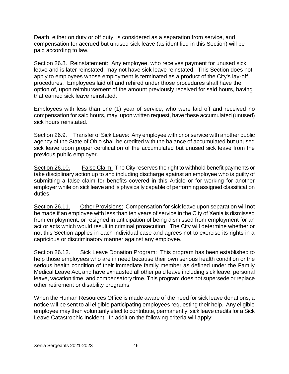Death, either on duty or off duty, is considered as a separation from service, and compensation for accrued but unused sick leave (as identified in this Section) will be paid according to law.

Section 26.8. Reinstatement: Any employee, who receives payment for unused sick leave and is later reinstated, may not have sick leave reinstated. This Section does not apply to employees whose employment is terminated as a product of the City's lay-off procedures. Employees laid off and rehired under those procedures shall have the option of, upon reimbursement of the amount previously received for said hours, having that earned sick leave reinstated.

Employees with less than one (1) year of service, who were laid off and received no compensation for said hours, may, upon written request, have these accumulated (unused) sick hours reinstated.

Section 26.9. Transfer of Sick Leave: Any employee with prior service with another public agency of the State of Ohio shall be credited with the balance of accumulated but unused sick leave upon proper certification of the accumulated but unused sick leave from the previous public employer.

Section 26.10. False Claim: The City reserves the right to withhold benefit payments or take disciplinary action up to and including discharge against an employee who is guilty of submitting a false claim for benefits covered in this Article or for working for another employer while on sick leave and is physically capable of performing assigned classification duties.

Section 26.11. Other Provisions: Compensation for sick leave upon separation will not be made if an employee with less than ten years of service in the City of Xenia is dismissed from employment, or resigned in anticipation of being dismissed from employment for an act or acts which would result in criminal prosecution. The City will determine whether or not this Section applies in each individual case and agrees not to exercise its rights in a capricious or discriminatory manner against any employee.

Section 26.12. Sick Leave Donation Program: This program has been established to help those employees who are in need because their own serious health condition or the serious health condition of their immediate family member as defined under the Family Medical Leave Act, and have exhausted all other paid leave including sick leave, personal leave, vacation time, and compensatory time. This program does not supersede or replace other retirement or disability programs.

When the Human Resources Office is made aware of the need for sick leave donations, a notice will be sent to all eligible participating employees requesting their help. Any eligible employee may then voluntarily elect to contribute, permanently, sick leave credits for a Sick Leave Catastrophic Incident. In addition the following criteria will apply: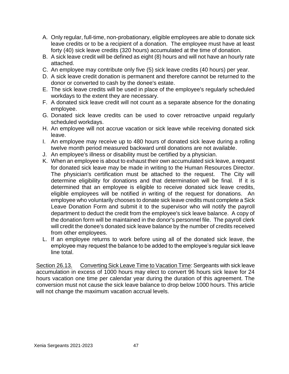- A. Only regular, full-time, non-probationary, eligible employees are able to donate sick leave credits or to be a recipient of a donation. The employee must have at least forty (40) sick leave credits (320 hours) accumulated at the time of donation.
- B. A sick leave credit will be defined as eight (8) hours and will not have an hourly rate attached.
- C. An employee may contribute only five (5) sick leave credits (40 hours) per year.
- D. A sick leave credit donation is permanent and therefore cannot be returned to the donor or converted to cash by the donee's estate.
- E. The sick leave credits will be used in place of the employee's regularly scheduled workdays to the extent they are necessary.
- F. A donated sick leave credit will not count as a separate absence for the donating employee.
- G. Donated sick leave credits can be used to cover retroactive unpaid regularly scheduled workdays.
- H. An employee will not accrue vacation or sick leave while receiving donated sick leave.
- I. An employee may receive up to 480 hours of donated sick leave during a rolling twelve month period measured backward until donations are not available.
- J. An employee's illness or disability must be certified by a physician.
- K. When an employee is about to exhaust their own accumulated sick leave, a request for donated sick leave may be made in writing to the Human Resources Director. The physician's certification must be attached to the request. The City will determine eligibility for donations and that determination will be final. If it is determined that an employee is eligible to receive donated sick leave credits, eligible employees will be notified in writing of the request for donations. An employee who voluntarily chooses to donate sick leave credits must complete a Sick Leave Donation Form and submit it to the supervisor who will notify the payroll department to deduct the credit from the employee's sick leave balance. A copy of the donation form will be maintained in the donor's personnel file. The payroll clerk will credit the donee's donated sick leave balance by the number of credits received from other employees.
- L. If an employee returns to work before using all of the donated sick leave, the employee may request the balance to be added to the employee's regular sick leave line total.

Section 26.13. Converting Sick Leave Time to Vacation Time: Sergeants with sick leave accumulation in excess of 1000 hours may elect to convert 96 hours sick leave for 24 hours vacation one time per calendar year during the duration of this agreement. The conversion must not cause the sick leave balance to drop below 1000 hours. This article will not change the maximum vacation accrual levels.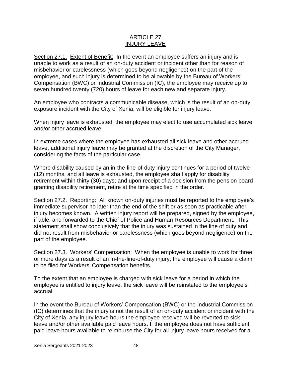# ARTICLE 27 INJURY LEAVE

Section 27.1. Extent of Benefit: In the event an employee suffers an injury and is unable to work as a result of an on-duty accident or incident other than for reason of misbehavior or carelessness (which goes beyond negligence) on the part of the employee, and such injury is determined to be allowable by the Bureau of Workers' Compensation (BWC) or Industrial Commission (IC), the employee may receive up to seven hundred twenty (720) hours of leave for each new and separate injury.

An employee who contracts a communicable disease, which is the result of an on-duty exposure incident with the City of Xenia, will be eligible for injury leave.

When injury leave is exhausted, the employee may elect to use accumulated sick leave and/or other accrued leave.

In extreme cases where the employee has exhausted all sick leave and other accrued leave, additional injury leave may be granted at the discretion of the City Manager, considering the facts of the particular case.

Where disability caused by an in-the-line-of-duty injury continues for a period of twelve (12) months, and all leave is exhausted, the employee shall apply for disability retirement within thirty (30) days; and upon receipt of a decision from the pension board granting disability retirement, retire at the time specified in the order.

Section 27.2. Reporting: All known on-duty injuries must be reported to the employee's immediate supervisor no later than the end of the shift or as soon as practicable after injury becomes known. A written injury report will be prepared, signed by the employee, if able, and forwarded to the Chief of Police and Human Resources Department. This statement shall show conclusively that the injury was sustained in the line of duty and did not result from misbehavior or carelessness (which goes beyond negligence) on the part of the employee.

Section 27.3. Workers' Compensation: When the employee is unable to work for three or more days as a result of an in-the-line-of-duty injury, the employee will cause a claim to be filed for Workers' Compensation benefits.

To the extent that an employee is charged with sick leave for a period in which the employee is entitled to injury leave, the sick leave will be reinstated to the employee's accrual.

In the event the Bureau of Workers' Compensation (BWC) or the Industrial Commission (IC) determines that the injury is not the result of an on-duty accident or incident with the City of Xenia, any injury leave hours the employee received will be reverted to sick leave and/or other available paid leave hours. If the employee does not have sufficient paid leave hours available to reimburse the City for all injury leave hours received for a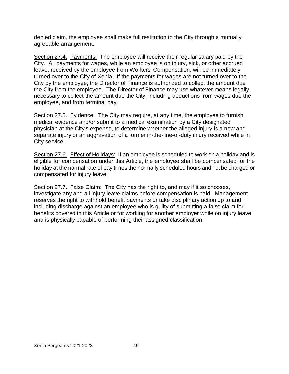denied claim, the employee shall make full restitution to the City through a mutually agreeable arrangement.

Section 27.4. Payments: The employee will receive their regular salary paid by the City. All payments for wages, while an employee is on injury, sick, or other accrued leave, received by the employee from Workers' Compensation, will be immediately turned over to the City of Xenia. If the payments for wages are not turned over to the City by the employee, the Director of Finance is authorized to collect the amount due the City from the employee. The Director of Finance may use whatever means legally necessary to collect the amount due the City, including deductions from wages due the employee, and from terminal pay.

Section 27.5. Evidence: The City may require, at any time, the employee to furnish medical evidence and/or submit to a medical examination by a City designated physician at the City's expense, to determine whether the alleged injury is a new and separate injury or an aggravation of a former in-the-line-of-duty injury received while in City service.

Section 27.6. Effect of Holidays: If an employee is scheduled to work on a holiday and is eligible for compensation under this Article, the employee shall be compensated for the holiday at the normal rate of pay times the normally scheduled hours and not be charged or compensated for injury leave.

Section 27.7. False Claim: The City has the right to, and may if it so chooses, investigate any and all injury leave claims before compensation is paid. Management reserves the right to withhold benefit payments or take disciplinary action up to and including discharge against an employee who is guilty of submitting a false claim for benefits covered in this Article or for working for another employer while on injury leave and is physically capable of performing their assigned classification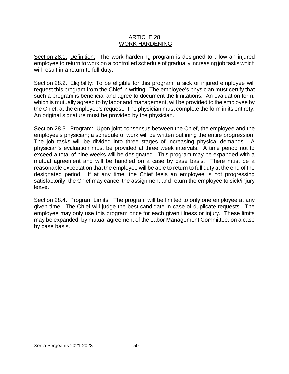#### ARTICLE 28 WORK HARDENING

Section 28.1. Definition: The work hardening program is designed to allow an injured employee to return to work on a controlled schedule of gradually increasing job tasks which will result in a return to full duty.

Section 28.2. Eligibility: To be eligible for this program, a sick or injured employee will request this program from the Chief in writing. The employee's physician must certify that such a program is beneficial and agree to document the limitations. An evaluation form, which is mutually agreed to by labor and management, will be provided to the employee by the Chief, at the employee's request. The physician must complete the form in its entirety. An original signature must be provided by the physician.

Section 28.3. Program: Upon joint consensus between the Chief, the employee and the employee's physician; a schedule of work will be written outlining the entire progression. The job tasks will be divided into three stages of increasing physical demands. A physician's evaluation must be provided at three week intervals. A time period not to exceed a total of nine weeks will be designated. This program may be expanded with a mutual agreement and will be handled on a case by case basis. There must be a reasonable expectation that the employee will be able to return to full duty at the end of the designated period. If at any time, the Chief feels an employee is not progressing satisfactorily, the Chief may cancel the assignment and return the employee to sick/injury leave.

Section 28.4. Program Limits: The program will be limited to only one employee at any given time. The Chief will judge the best candidate in case of duplicate requests. The employee may only use this program once for each given illness or injury. These limits may be expanded, by mutual agreement of the Labor Management Committee, on a case by case basis.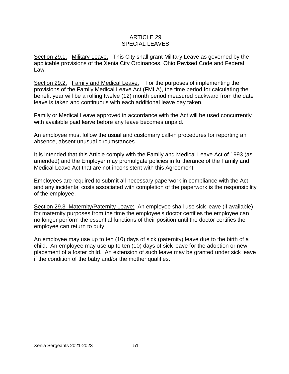# ARTICLE 29 SPECIAL LEAVES

Section 29.1. Military Leave. This City shall grant Military Leave as governed by the applicable provisions of the Xenia City Ordinances, Ohio Revised Code and Federal Law.

Section 29.2. Family and Medical Leave. For the purposes of implementing the provisions of the Family Medical Leave Act (FMLA), the time period for calculating the benefit year will be a rolling twelve (12) month period measured backward from the date leave is taken and continuous with each additional leave day taken.

Family or Medical Leave approved in accordance with the Act will be used concurrently with available paid leave before any leave becomes unpaid.

An employee must follow the usual and customary call-in procedures for reporting an absence, absent unusual circumstances.

It is intended that this Article comply with the Family and Medical Leave Act of 1993 (as amended) and the Employer may promulgate policies in furtherance of the Family and Medical Leave Act that are not inconsistent with this Agreement.

Employees are required to submit all necessary paperwork in compliance with the Act and any incidental costs associated with completion of the paperwork is the responsibility of the employee.

Section 29.3 Maternity/Paternity Leave: An employee shall use sick leave (if available) for maternity purposes from the time the employee's doctor certifies the employee can no longer perform the essential functions of their position until the doctor certifies the employee can return to duty.

An employee may use up to ten (10) days of sick (paternity) leave due to the birth of a child. An employee may use up to ten (10) days of sick leave for the adoption or new placement of a foster child. An extension of such leave may be granted under sick leave if the condition of the baby and/or the mother qualifies.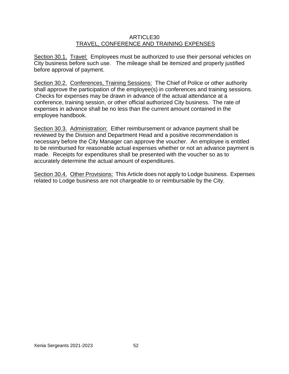# ARTICLE30 TRAVEL, CONFERENCE AND TRAINING EXPENSES

Section 30.1. Travel: Employees must be authorized to use their personal vehicles on City business before such use. The mileage shall be itemized and properly justified before approval of payment.

Section 30.2. Conferences, Training Sessions: The Chief of Police or other authority shall approve the participation of the employee(s) in conferences and training sessions. Checks for expenses may be drawn in advance of the actual attendance at a conference, training session, or other official authorized City business. The rate of expenses in advance shall be no less than the current amount contained in the employee handbook.

Section 30.3. Administration: Either reimbursement or advance payment shall be reviewed by the Division and Department Head and a positive recommendation is necessary before the City Manager can approve the voucher. An employee is entitled to be reimbursed for reasonable actual expenses whether or not an advance payment is made. Receipts for expenditures shall be presented with the voucher so as to accurately determine the actual amount of expenditures.

Section 30.4. Other Provisions: This Article does not apply to Lodge business. Expenses related to Lodge business are not chargeable to or reimbursable by the City.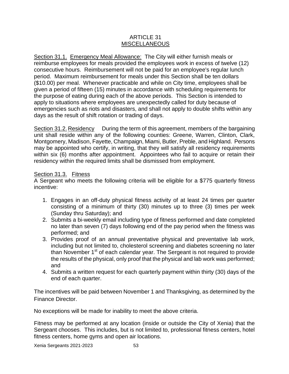# ARTICLE 31 MISCELLANEOUS

Section 31.1. Emergency Meal Allowance: The City will either furnish meals or reimburse employees for meals provided the employees work in excess of twelve (12) consecutive hours. Reimbursement will not be paid for an employee's regular lunch period. Maximum reimbursement for meals under this Section shall be ten dollars (\$10.00) per meal. Whenever practicable and while on City time, employees shall be given a period of fifteen (15) minutes in accordance with scheduling requirements for the purpose of eating during each of the above periods. This Section is intended to apply to situations where employees are unexpectedly called for duty because of emergencies such as riots and disasters, and shall not apply to double shifts within any days as the result of shift rotation or trading of days.

Section 31.2. Residency During the term of this agreement, members of the bargaining unit shall reside within any of the following counties: Greene, Warren, Clinton, Clark, Montgomery, Madison, Fayette, Champaign, Miami, Butler, Preble, and Highland. Persons may be appointed who certify, in writing, that they will satisfy all residency requirements within six (6) months after appointment. Appointees who fail to acquire or retain their residency within the required limits shall be dismissed from employment.

# Section 31.3. Fitness

A Sergeant who meets the following criteria will be eligible for a \$775 quarterly fitness incentive:

- 1. Engages in an off-duty physical fitness activity of at least 24 times per quarter consisting of a minimum of thirty (30) minutes up to three (3) times per week (Sunday thru Saturday); and
- 2. Submits a bi-weekly email including type of fitness performed and date completed no later than seven (7) days following end of the pay period when the fitness was performed; and
- 3. Provides proof of an annual preventative physical and preventative lab work, including but not limited to, cholesterol screening and diabetes screening no later than November  $1<sup>st</sup>$  of each calendar year. The Sergeant is not required to provide the results of the physical, only proof that the physical and lab work was performed; and
- 4. Submits a written request for each quarterly payment within thirty (30) days of the end of each quarter.

The incentives will be paid between November 1 and Thanksgiving, as determined by the Finance Director.

No exceptions will be made for inability to meet the above criteria.

Fitness may be performed at any location (inside or outside the City of Xenia) that the Sergeant chooses. This includes, but is not limited to, professional fitness centers, hotel fitness centers, home gyms and open air locations.

Xenia Sergeants 2021-2023 53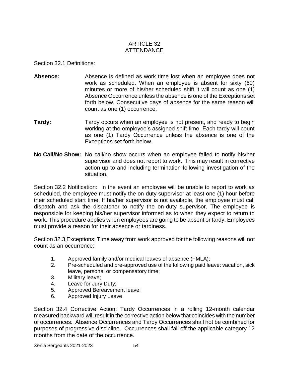# ARTICLE 32 ATTENDANCE

# Section 32.1 Definitions:

- **Absence:** Absence is defined as work time lost when an employee does not work as scheduled. When an employee is absent for sixty (60) minutes or more of his/her scheduled shift it will count as one (1) Absence Occurrence unless the absence is one of the Exceptions set forth below. Consecutive days of absence for the same reason will count as one (1) occurrence.
- **Tardy:** Tardy occurs when an employee is not present, and ready to begin working at the employee's assigned shift time. Each tardy will count as one (1) Tardy Occurrence unless the absence is one of the Exceptions set forth below.
- **No Call/No Show:** No call/no show occurs when an employee failed to notify his/her supervisor and does not report to work. This may result in corrective action up to and including termination following investigation of the situation.

Section 32.2 Notification: In the event an employee will be unable to report to work as scheduled, the employee must notify the on-duty supervisor at least one (1) hour before their scheduled start time. If his/her supervisor is not available, the employee must call dispatch and ask the dispatcher to notify the on-duty supervisor. The employee is responsible for keeping his/her supervisor informed as to when they expect to return to work. This procedure applies when employees are going to be absent or tardy. Employees must provide a reason for their absence or tardiness.

Section 32.3 Exceptions: Time away from work approved for the following reasons will not count as an occurrence:

- 1. Approved family and/or medical leaves of absence (FMLA);
- 2. Pre-scheduled and pre-approved use of the following paid leave: vacation, sick leave, personal or compensatory time;
- 3. Military leave;
- 4. Leave for Jury Duty;
- 5. Approved Bereavement leave;
- 6. Approved Injury Leave

Section 32.4 Corrective Action: Tardy Occurrences in a rolling 12-month calendar measured backward will result in the corrective action below that coincides with the number of occurrences. Absence Occurrences and Tardy Occurrences shall not be combined for purposes of progressive discipline. Occurrences shall fall off the applicable category 12 months from the date of the occurrence.

Xenia Sergeants 2021-2023 54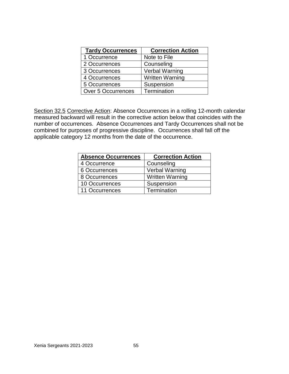| <b>Tardy Occurrences</b>  | <b>Correction Action</b> |
|---------------------------|--------------------------|
| 1 Occurrence              | Note to File             |
| 2 Occurrences             | Counseling               |
| 3 Occurrences             | <b>Verbal Warning</b>    |
| 4 Occurrences             | <b>Written Warning</b>   |
| 5 Occurrences             | Suspension               |
| <b>Over 5 Occurrences</b> | Termination              |

Section 32.5 Corrective Action: Absence Occurrences in a rolling 12-month calendar measured backward will result in the corrective action below that coincides with the number of occurrences. Absence Occurrences and Tardy Occurrences shall not be combined for purposes of progressive discipline. Occurrences shall fall off the applicable category 12 months from the date of the occurrence.

| <b>Absence Occurrences</b> | <b>Correction Action</b> |
|----------------------------|--------------------------|
| 4 Occurrence               | Counseling               |
| 6 Occurrences              | Verbal Warning           |
| 8 Occurrences              | <b>Written Warning</b>   |
| 10 Occurrences             | Suspension               |
| 11 Occurrences             | Termination              |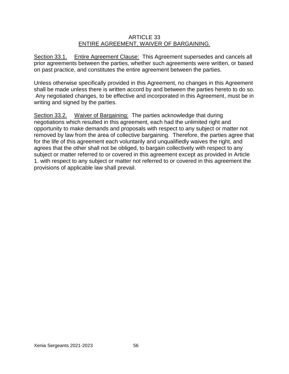# ARTICLE 33 ENTIRE AGREEMENT, WAIVER OF BARGAINING.

Section 33.1. Entire Agreement Clause: This Agreement supersedes and cancels all prior agreements between the parties, whether such agreements were written, or based on past practice, and constitutes the entire agreement between the parties.

Unless otherwise specifically provided in this Agreement, no changes in this Agreement shall be made unless there is written accord by and between the parties hereto to do so. Any negotiated changes, to be effective and incorporated in this Agreement, must be in writing and signed by the parties.

Section 33.2. Waiver of Bargaining: The parties acknowledge that during negotiations which resulted in this agreement, each had the unlimited right and opportunity to make demands and proposals with respect to any subject or matter not removed by law from the area of collective bargaining. Therefore, the parties agree that for the life of this agreement each voluntarily and unqualifiedly waives the right, and agrees that the other shall not be obliged, to bargain collectively with respect to any subject or matter referred to or covered in this agreement except as provided in Article 1. with respect to any subject or matter not referred to or covered in this agreement the provisions of applicable law shall prevail.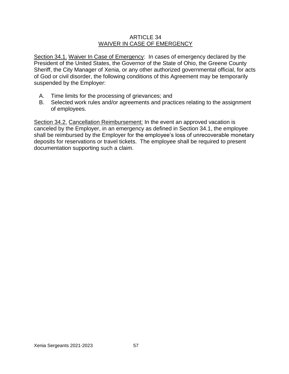# ARTICLE 34 WAIVER IN CASE OF EMERGENCY

Section 34.1. Waiver In Case of Emergency: In cases of emergency declared by the President of the United States, the Governor of the State of Ohio, the Greene County Sheriff, the City Manager of Xenia, or any other authorized governmental official, for acts of God or civil disorder, the following conditions of this Agreement may be temporarily suspended by the Employer:

- A. Time limits for the processing of grievances; and
- B. Selected work rules and/or agreements and practices relating to the assignment of employees.

Section 34.2. Cancellation Reimbursement: In the event an approved vacation is canceled by the Employer, in an emergency as defined in Section 34.1, the employee shall be reimbursed by the Employer for the employee's loss of unrecoverable monetary deposits for reservations or travel tickets. The employee shall be required to present documentation supporting such a claim.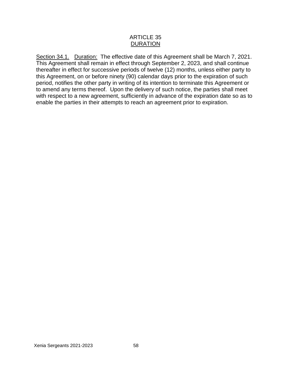# ARTICLE 35 DURATION

Section 34.1. Duration: The effective date of this Agreement shall be March 7, 2021. This Agreement shall remain in effect through September 2, 2023, and shall continue thereafter in effect for successive periods of twelve (12) months, unless either party to this Agreement, on or before ninety (90) calendar days prior to the expiration of such period, notifies the other party in writing of its intention to terminate this Agreement or to amend any terms thereof. Upon the delivery of such notice, the parties shall meet with respect to a new agreement, sufficiently in advance of the expiration date so as to enable the parties in their attempts to reach an agreement prior to expiration.